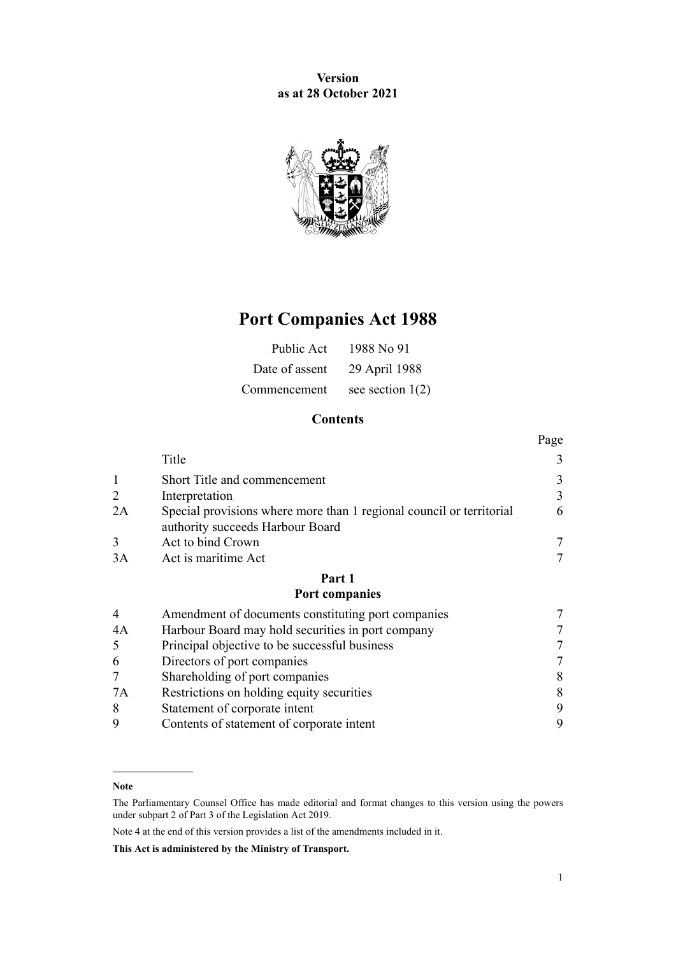**Version as at 28 October 2021**



# **Port Companies Act 1988**

| Public Act     | 1988 No 91         |
|----------------|--------------------|
| Date of assent | 29 April 1988      |
| Commencement   | see section $1(2)$ |

# **Contents**

|                |                                                                                                          | Page |
|----------------|----------------------------------------------------------------------------------------------------------|------|
|                | Title                                                                                                    | 3    |
|                | Short Title and commencement                                                                             | 3    |
| 2              | Interpretation                                                                                           | 3    |
| 2A             | Special provisions where more than 1 regional council or territorial<br>authority succeeds Harbour Board | 6    |
| 3              | Act to bind Crown                                                                                        | 7    |
| 3A             | Act is maritime Act                                                                                      | 7    |
|                | Part 1                                                                                                   |      |
|                | Port companies                                                                                           |      |
| $\overline{4}$ | Amendment of documents constituting port companies                                                       | 7    |
| 4A             | Harbour Board may hold securities in port company                                                        |      |
| 5              | Principal objective to be successful business                                                            |      |
|                |                                                                                                          |      |

| Directors of port companies               |  |
|-------------------------------------------|--|
| Shareholding of port companies            |  |
| Restrictions on holding equity securities |  |
| Statement of corporate intent             |  |
| Contents of statement of corporate intent |  |

Note 4 at the end of this version provides a list of the amendments included in it.

**This Act is administered by the Ministry of Transport.**

**Note**

The Parliamentary Counsel Office has made editorial and format changes to this version using the powers under [subpart 2](http://legislation.govt.nz/pdflink.aspx?id=DLM7298371) of Part 3 of the Legislation Act 2019.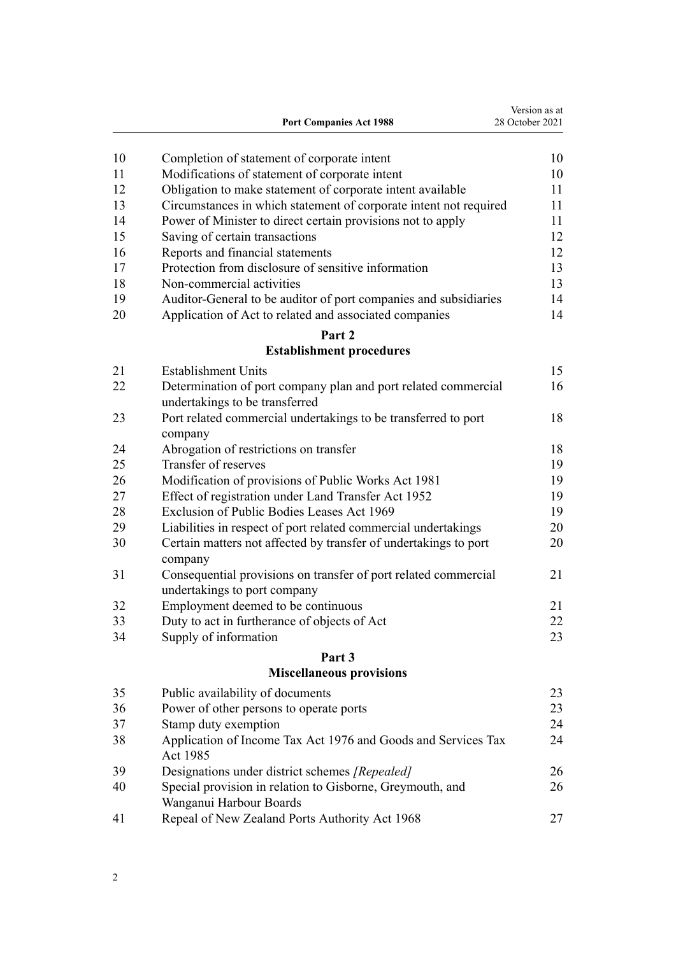|    | <b>Port Companies Act 1988</b>                                                                   | Version as at<br>28 October 2021 |
|----|--------------------------------------------------------------------------------------------------|----------------------------------|
| 10 | Completion of statement of corporate intent                                                      | 10                               |
| 11 | Modifications of statement of corporate intent                                                   | 10                               |
| 12 | Obligation to make statement of corporate intent available                                       | 11                               |
| 13 | Circumstances in which statement of corporate intent not required                                | 11                               |
| 14 | Power of Minister to direct certain provisions not to apply                                      | 11                               |
| 15 | Saving of certain transactions                                                                   | 12                               |
| 16 | Reports and financial statements                                                                 | 12                               |
| 17 | Protection from disclosure of sensitive information                                              | 13                               |
| 18 | Non-commercial activities                                                                        | 13                               |
| 19 | Auditor-General to be auditor of port companies and subsidiaries                                 | 14                               |
| 20 | Application of Act to related and associated companies                                           | 14                               |
|    | Part 2                                                                                           |                                  |
|    | <b>Establishment procedures</b>                                                                  |                                  |
| 21 | <b>Establishment Units</b>                                                                       | 15                               |
| 22 | Determination of port company plan and port related commercial<br>undertakings to be transferred | 16                               |
| 23 | Port related commercial undertakings to be transferred to port<br>company                        | 18                               |
| 24 | Abrogation of restrictions on transfer                                                           | 18                               |
| 25 | Transfer of reserves                                                                             | 19                               |
| 26 | Modification of provisions of Public Works Act 1981                                              | 19                               |
| 27 | Effect of registration under Land Transfer Act 1952                                              | 19                               |
| 28 | Exclusion of Public Bodies Leases Act 1969                                                       | 19                               |
| 29 | Liabilities in respect of port related commercial undertakings                                   | 20                               |
| 30 | Certain matters not affected by transfer of undertakings to port<br>company                      | 20                               |
| 31 | Consequential provisions on transfer of port related commercial<br>undertakings to port company  | 21                               |
| 32 | Employment deemed to be continuous                                                               | 21                               |
| 33 | Duty to act in furtherance of objects of Act                                                     | 22                               |
| 34 | Supply of information                                                                            | 23                               |
|    | Part 3                                                                                           |                                  |
|    | <b>Miscellaneous provisions</b>                                                                  |                                  |
| 35 | Public availability of documents                                                                 | 23                               |
| 36 | Power of other persons to operate ports                                                          | 23                               |
| 37 | Stamp duty exemption                                                                             | 24                               |
| 38 | Application of Income Tax Act 1976 and Goods and Services Tax<br>Act 1985                        | 24                               |
| 39 | Designations under district schemes [Repealed]                                                   | 26                               |
| 40 | Special provision in relation to Gisborne, Greymouth, and<br>Wanganui Harbour Boards             | 26                               |
| 41 | Repeal of New Zealand Ports Authority Act 1968                                                   | 27                               |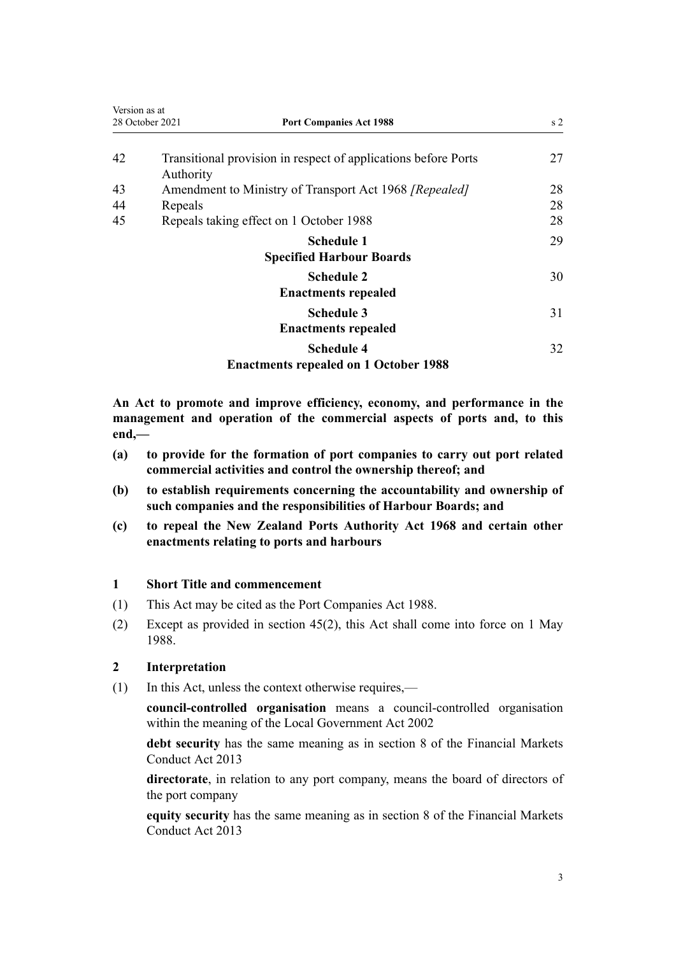<span id="page-2-0"></span>

| Version as at | 28 October 2021<br><b>Port Companies Act 1988</b>                           | s <sub>2</sub> |
|---------------|-----------------------------------------------------------------------------|----------------|
| 42            | Transitional provision in respect of applications before Ports<br>Authority | 27             |
| 43            | Amendment to Ministry of Transport Act 1968 [Repealed]                      | 28             |
| 44            | Repeals                                                                     | 28             |
| 45            | Repeals taking effect on 1 October 1988                                     | 28             |
|               | <b>Schedule 1</b>                                                           | 29             |
|               | <b>Specified Harbour Boards</b>                                             |                |
|               | <b>Schedule 2</b><br><b>Enactments repealed</b>                             | 30             |
|               | <b>Schedule 3</b>                                                           | 31             |
|               | <b>Enactments repealed</b>                                                  |                |
|               | <b>Schedule 4</b>                                                           | 32             |
|               | <b>Enactments repealed on 1 October 1988</b>                                |                |

**An Act to promote and improve efficiency, economy, and performance in the management and operation of the commercial aspects of ports and, to this end,—**

- **(a) to provide for the formation of port companies to carry out port related commercial activities and control the ownership thereof; and**
- **(b) to establish requirements concerning the accountability and ownership of such companies and the responsibilities of Harbour Boards; and**
- **(c) to repeal the New Zealand Ports Authority Act 1968 and certain other enactments relating to ports and harbours**

#### **1 Short Title and commencement**

- (1) This Act may be cited as the Port Companies Act 1988.
- (2) Except as provided in [section 45\(2\),](#page-27-0) this Act shall come into force on 1 May 1988.

# **2 Interpretation**

(1) In this Act, unless the context otherwise requires,—

**council-controlled organisation** means a council-controlled organisation within the meaning of the [Local Government Act 2002](http://legislation.govt.nz/pdflink.aspx?id=DLM170872)

**debt security** has the same meaning as in [section 8](http://legislation.govt.nz/pdflink.aspx?id=DLM4090911) of the Financial Markets Conduct Act 2013

**directorate**, in relation to any port company, means the board of directors of the port company

**equity security** has the same meaning as in [section 8](http://legislation.govt.nz/pdflink.aspx?id=DLM4090911) of the Financial Markets Conduct Act 2013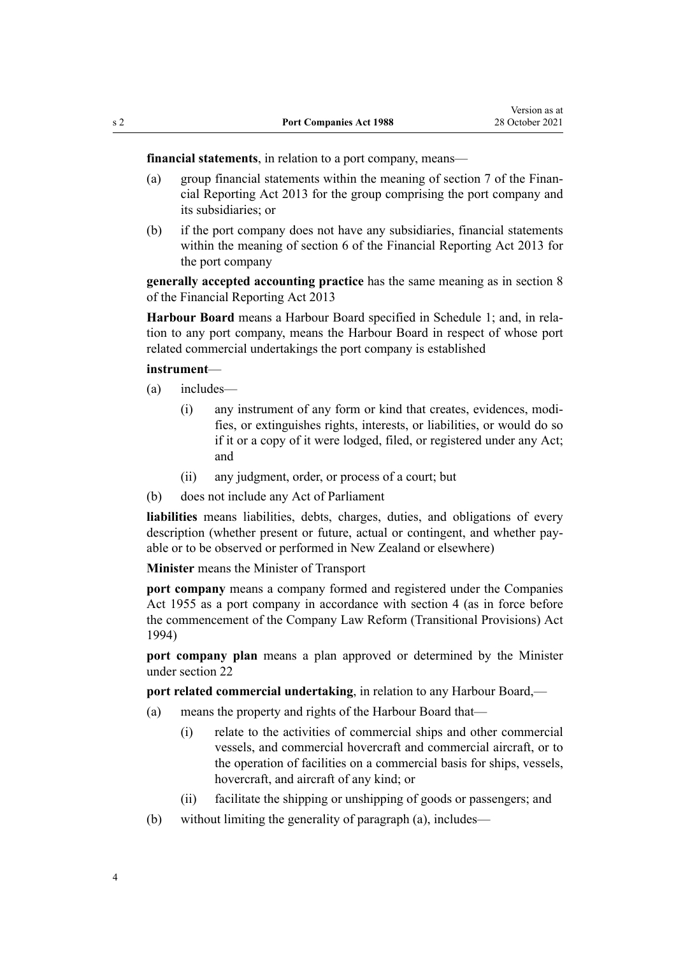**financial statements**, in relation to a port company, means—

- (a) group financial statements within the meaning of [section 7](http://legislation.govt.nz/pdflink.aspx?id=DLM4632892) of the Financial Reporting Act 2013 for the group comprising the port company and its subsidiaries; or
- (b) if the port company does not have any subsidiaries, financial statements within the meaning of [section 6](http://legislation.govt.nz/pdflink.aspx?id=DLM4632890) of the Financial Reporting Act 2013 for the port company

**generally accepted accounting practice** has the same meaning as in [section 8](http://legislation.govt.nz/pdflink.aspx?id=DLM4632894) of the Financial Reporting Act 2013

**Harbour Board** means a Harbour Board specified in [Schedule 1](#page-28-0); and, in rela‐ tion to any port company, means the Harbour Board in respect of whose port related commercial undertakings the port company is established

#### **instrument**—

- (a) includes—
	- (i) any instrument of any form or kind that creates, evidences, modi‐ fies, or extinguishes rights, interests, or liabilities, or would do so if it or a copy of it were lodged, filed, or registered under any Act; and
	- (ii) any judgment, order, or process of a court; but
- (b) does not include any Act of Parliament

**liabilities** means liabilities, debts, charges, duties, and obligations of every description (whether present or future, actual or contingent, and whether pay‐ able or to be observed or performed in New Zealand or elsewhere)

**Minister** means the Minister of Transport

**port company** means a company formed and registered under the Companies Act 1955 as a port company in accordance with [section 4](#page-6-0) (as in force before the commencement of the [Company Law Reform \(Transitional Provisions\) Act](http://legislation.govt.nz/pdflink.aspx?id=DLM328980) [1994](http://legislation.govt.nz/pdflink.aspx?id=DLM328980))

**port company plan** means a plan approved or determined by the Minister under [section 22](#page-15-0)

**port related commercial undertaking**, in relation to any Harbour Board,—

- (a) means the property and rights of the Harbour Board that—
	- (i) relate to the activities of commercial ships and other commercial vessels, and commercial hovercraft and commercial aircraft, or to the operation of facilities on a commercial basis for ships, vessels, hovercraft, and aircraft of any kind; or
	- (ii) facilitate the shipping or unshipping of goods or passengers; and
- (b) without limiting the generality of paragraph (a), includes—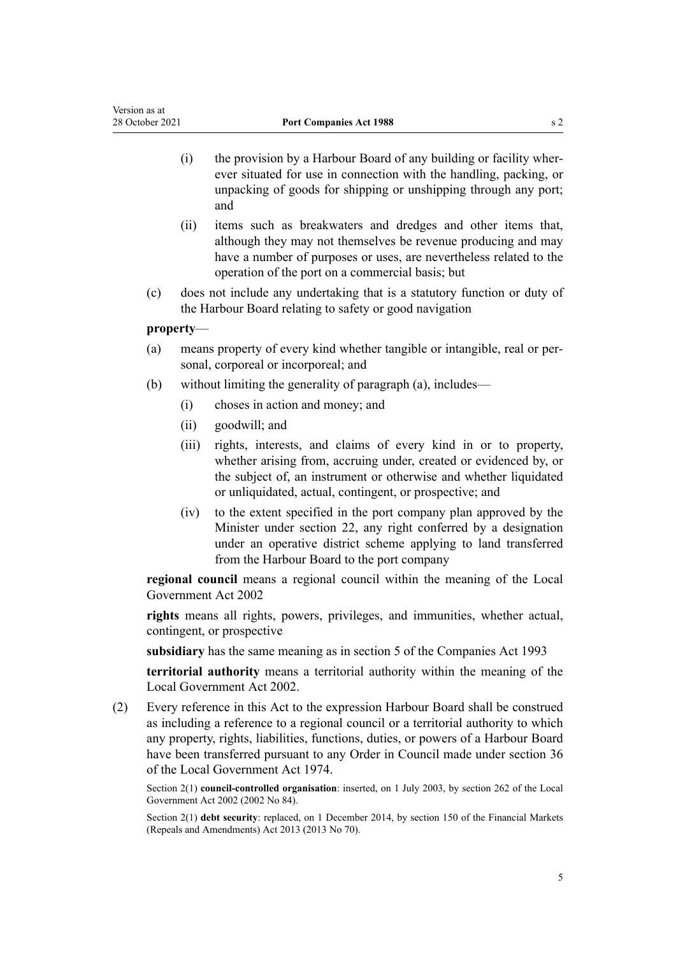- (i) the provision by a Harbour Board of any building or facility wher‐ ever situated for use in connection with the handling, packing, or unpacking of goods for shipping or unshipping through any port; and
- (ii) items such as breakwaters and dredges and other items that, although they may not themselves be revenue producing and may have a number of purposes or uses, are nevertheless related to the operation of the port on a commercial basis; but
- (c) does not include any undertaking that is a statutory function or duty of the Harbour Board relating to safety or good navigation

#### **property**—

- (a) means property of every kind whether tangible or intangible, real or per‐ sonal, corporeal or incorporeal; and
- (b) without limiting the generality of paragraph (a), includes—
	- (i) choses in action and money; and
	- (ii) goodwill; and
	- (iii) rights, interests, and claims of every kind in or to property, whether arising from, accruing under, created or evidenced by, or the subject of, an instrument or otherwise and whether liquidated or unliquidated, actual, contingent, or prospective; and
	- (iv) to the extent specified in the port company plan approved by the Minister under [section 22,](#page-15-0) any right conferred by a designation under an operative district scheme applying to land transferred from the Harbour Board to the port company

**regional council** means a regional council within the meaning of the [Local](http://legislation.govt.nz/pdflink.aspx?id=DLM170872) [Government Act 2002](http://legislation.govt.nz/pdflink.aspx?id=DLM170872)

**rights** means all rights, powers, privileges, and immunities, whether actual, contingent, or prospective

**subsidiary** has the same meaning as in [section 5](http://legislation.govt.nz/pdflink.aspx?id=DLM319999) of the Companies Act 1993

**territorial authority** means a territorial authority within the meaning of the [Local Government Act 2002](http://legislation.govt.nz/pdflink.aspx?id=DLM170872).

(2) Every reference in this Act to the expression Harbour Board shall be construed as including a reference to a regional council or a territorial authority to which any property, rights, liabilities, functions, duties, or powers of a Harbour Board have been transferred pursuant to any Order in Council made under [section 36](http://legislation.govt.nz/pdflink.aspx?id=DLM416405) of the Local Government Act 1974.

Section 2(1) **council-controlled organisation**: inserted, on 1 July 2003, by [section 262](http://legislation.govt.nz/pdflink.aspx?id=DLM174088) of the Local Government Act 2002 (2002 No 84).

Section 2(1) **debt security**: replaced, on 1 December 2014, by [section 150](http://legislation.govt.nz/pdflink.aspx?id=DLM5561603) of the Financial Markets (Repeals and Amendments) Act 2013 (2013 No 70).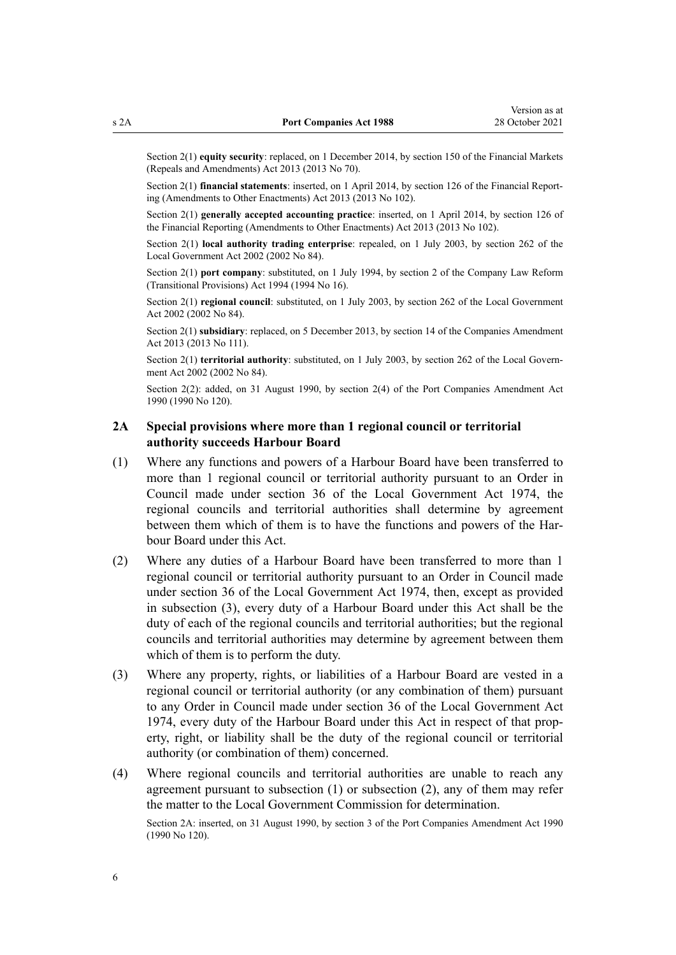<span id="page-5-0"></span>Section 2(1) **equity security**: replaced, on 1 December 2014, by [section 150](http://legislation.govt.nz/pdflink.aspx?id=DLM5561603) of the Financial Markets (Repeals and Amendments) Act 2013 (2013 No 70).

Section 2(1) **financial statements**: inserted, on 1 April 2014, by [section 126](http://legislation.govt.nz/pdflink.aspx?id=DLM5740665) of the Financial Reporting (Amendments to Other Enactments) Act 2013 (2013 No 102).

Section 2(1) **generally accepted accounting practice**: inserted, on 1 April 2014, by [section 126](http://legislation.govt.nz/pdflink.aspx?id=DLM5740665) of the Financial Reporting (Amendments to Other Enactments) Act 2013 (2013 No 102).

Section 2(1) **local authority trading enterprise**: repealed, on 1 July 2003, by [section 262](http://legislation.govt.nz/pdflink.aspx?id=DLM174088) of the Local Government Act 2002 (2002 No 84).

Section 2(1) **port company**: substituted, on 1 July 1994, by [section 2](http://legislation.govt.nz/pdflink.aspx?id=DLM328986) of the Company Law Reform (Transitional Provisions) Act 1994 (1994 No 16).

Section 2(1) **regional council**: substituted, on 1 July 2003, by [section 262](http://legislation.govt.nz/pdflink.aspx?id=DLM174088) of the Local Government Act 2002 (2002 No 84).

Section 2(1) **subsidiary**: replaced, on 5 December 2013, by [section 14](http://legislation.govt.nz/pdflink.aspx?id=DLM5620822) of the Companies Amendment Act 2013 (2013 No 111).

Section 2(1) **territorial authority**: substituted, on 1 July 2003, by [section 262](http://legislation.govt.nz/pdflink.aspx?id=DLM174088) of the Local Government Act 2002 (2002 No 84).

Section 2(2): added, on 31 August 1990, by section 2(4) of the Port Companies Amendment Act 1990 (1990 No 120).

#### **2A Special provisions where more than 1 regional council or territorial authority succeeds Harbour Board**

- (1) Where any functions and powers of a Harbour Board have been transferred to more than 1 regional council or territorial authority pursuant to an Order in Council made under [section 36](http://legislation.govt.nz/pdflink.aspx?id=DLM416405) of the Local Government Act 1974, the regional councils and territorial authorities shall determine by agreement between them which of them is to have the functions and powers of the Harbour Board under this Act.
- (2) Where any duties of a Harbour Board have been transferred to more than 1 regional council or territorial authority pursuant to an Order in Council made under [section 36](http://legislation.govt.nz/pdflink.aspx?id=DLM416405) of the Local Government Act 1974, then, except as provided in subsection (3), every duty of a Harbour Board under this Act shall be the duty of each of the regional councils and territorial authorities; but the regional councils and territorial authorities may determine by agreement between them which of them is to perform the duty.
- (3) Where any property, rights, or liabilities of a Harbour Board are vested in a regional council or territorial authority (or any combination of them) pursuant to any Order in Council made under [section 36](http://legislation.govt.nz/pdflink.aspx?id=DLM416405) of the Local Government Act 1974, every duty of the Harbour Board under this Act in respect of that prop‐ erty, right, or liability shall be the duty of the regional council or territorial authority (or combination of them) concerned.
- (4) Where regional councils and territorial authorities are unable to reach any agreement pursuant to subsection  $(1)$  or subsection  $(2)$ , any of them may refer the matter to the Local Government Commission for determination.

Section 2A: inserted, on 31 August 1990, by section 3 of the Port Companies Amendment Act 1990 (1990 No 120).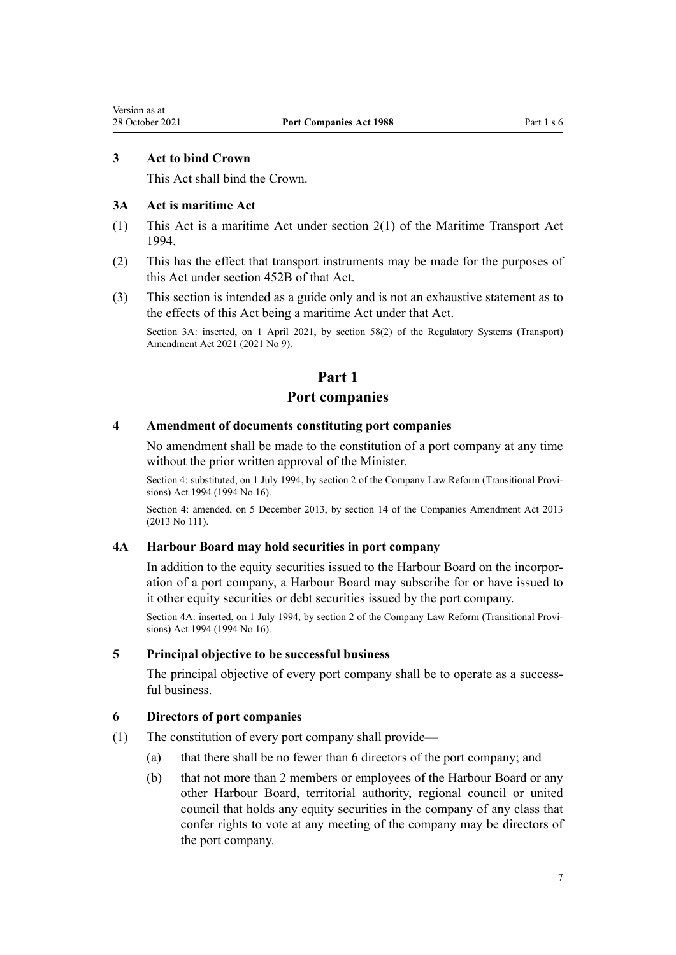#### <span id="page-6-0"></span>**3 Act to bind Crown**

This Act shall bind the Crown.

#### **3A Act is maritime Act**

- (1) This Act is a maritime Act under [section 2\(1\)](http://legislation.govt.nz/pdflink.aspx?id=DLM334667) of the Maritime Transport Act 1994.
- (2) This has the effect that transport instruments may be made for the purposes of this Act under [section 452B](http://legislation.govt.nz/pdflink.aspx?id=LMS482571) of that Act.
- (3) This section is intended as a guide only and is not an exhaustive statement as to the effects of this Act being a maritime Act under that Act.

Section 3A: inserted, on 1 April 2021, by [section 58\(2\)](http://legislation.govt.nz/pdflink.aspx?id=LMS290403) of the Regulatory Systems (Transport) Amendment Act 2021 (2021 No 9).

# **Part 1**

#### **Port companies**

#### **4 Amendment of documents constituting port companies**

No amendment shall be made to the constitution of a port company at any time without the prior written approval of the Minister.

Section 4: substituted, on 1 July 1994, by [section 2](http://legislation.govt.nz/pdflink.aspx?id=DLM328986) of the Company Law Reform (Transitional Provisions) Act 1994 (1994 No 16).

Section 4: amended, on 5 December 2013, by [section 14](http://legislation.govt.nz/pdflink.aspx?id=DLM5620822) of the Companies Amendment Act 2013 (2013 No 111).

#### **4A Harbour Board may hold securities in port company**

In addition to the equity securities issued to the Harbour Board on the incorpor‐ ation of a port company, a Harbour Board may subscribe for or have issued to it other equity securities or debt securities issued by the port company.

Section 4A: inserted, on 1 July 1994, by [section 2](http://legislation.govt.nz/pdflink.aspx?id=DLM328986) of the Company Law Reform (Transitional Provisions) Act 1994 (1994 No 16).

#### **5 Principal objective to be successful business**

The principal objective of every port company shall be to operate as a successful business.

#### **6 Directors of port companies**

- (1) The constitution of every port company shall provide—
	- (a) that there shall be no fewer than 6 directors of the port company; and
	- (b) that not more than 2 members or employees of the Harbour Board or any other Harbour Board, territorial authority, regional council or united council that holds any equity securities in the company of any class that confer rights to vote at any meeting of the company may be directors of the port company.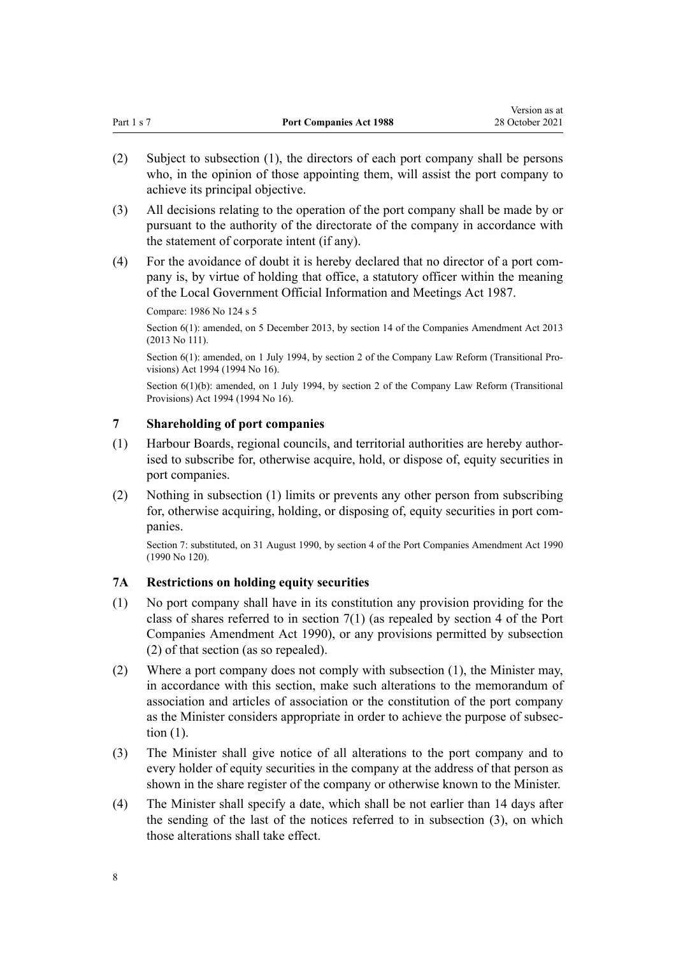<span id="page-7-0"></span>

| Part 1 s 7 | <b>Port Companies Act 1988</b> | 28 October 2021 |
|------------|--------------------------------|-----------------|
|            |                                |                 |

Version as at

- (2) Subject to subsection (1), the directors of each port company shall be persons who, in the opinion of those appointing them, will assist the port company to achieve its principal objective.
- (3) All decisions relating to the operation of the port company shall be made by or pursuant to the authority of the directorate of the company in accordance with the statement of corporate intent (if any).
- (4) For the avoidance of doubt it is hereby declared that no director of a port com‐ pany is, by virtue of holding that office, a statutory officer within the meaning of the [Local Government Official Information and Meetings Act 1987.](http://legislation.govt.nz/pdflink.aspx?id=DLM122241)

Compare: 1986 No 124 [s 5](http://legislation.govt.nz/pdflink.aspx?id=DLM98019)

Section 6(1): amended, on 5 December 2013, by [section 14](http://legislation.govt.nz/pdflink.aspx?id=DLM5620822) of the Companies Amendment Act 2013 (2013 No 111).

Section 6(1): amended, on 1 July 1994, by [section 2](http://legislation.govt.nz/pdflink.aspx?id=DLM328986) of the Company Law Reform (Transitional Provisions) Act 1994 (1994 No 16).

Section 6(1)(b): amended, on 1 July 1994, by [section 2](http://legislation.govt.nz/pdflink.aspx?id=DLM328986) of the Company Law Reform (Transitional Provisions) Act 1994 (1994 No 16).

#### **7 Shareholding of port companies**

- (1) Harbour Boards, regional councils, and territorial authorities are hereby author‐ ised to subscribe for, otherwise acquire, hold, or dispose of, equity securities in port companies.
- (2) Nothing in subsection (1) limits or prevents any other person from subscribing for, otherwise acquiring, holding, or disposing of, equity securities in port companies.

Section 7: substituted, on 31 August 1990, by section 4 of the Port Companies Amendment Act 1990 (1990 No 120).

# **7A Restrictions on holding equity securities**

- (1) No port company shall have in its constitution any provision providing for the class of shares referred to in section 7(1) (as repealed by section 4 of the Port Companies Amendment Act 1990), or any provisions permitted by subsection (2) of that section (as so repealed).
- (2) Where a port company does not comply with subsection (1), the Minister may, in accordance with this section, make such alterations to the memorandum of association and articles of association or the constitution of the port company as the Minister considers appropriate in order to achieve the purpose of subsec‐ tion (1).
- (3) The Minister shall give notice of all alterations to the port company and to every holder of equity securities in the company at the address of that person as shown in the share register of the company or otherwise known to the Minister.
- (4) The Minister shall specify a date, which shall be not earlier than 14 days after the sending of the last of the notices referred to in subsection (3), on which those alterations shall take effect.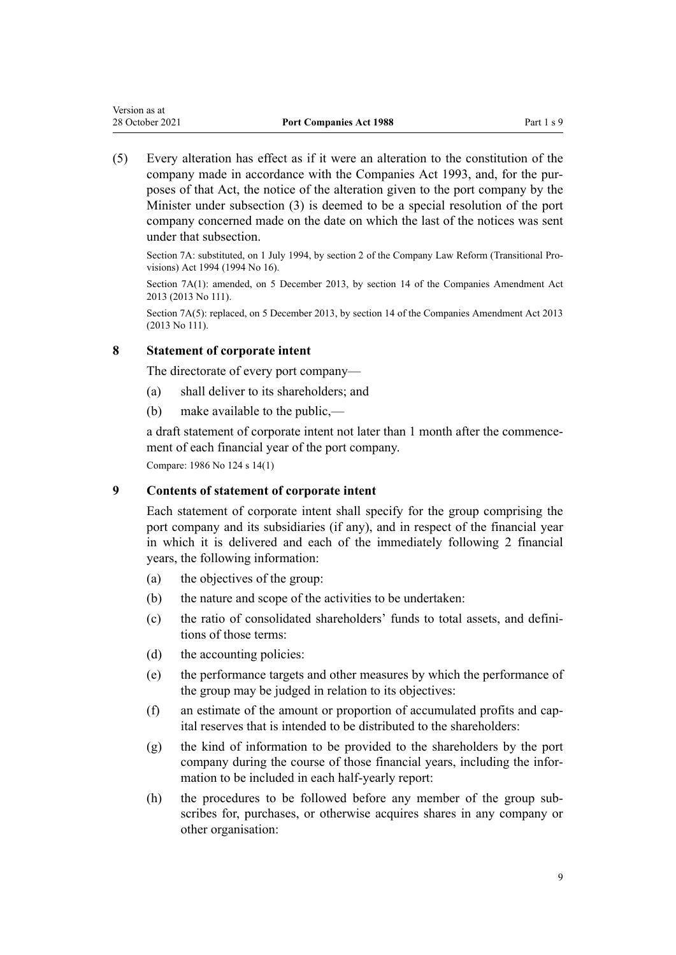<span id="page-8-0"></span>(5) Every alteration has effect as if it were an alteration to the constitution of the company made in accordance with the [Companies Act 1993](http://legislation.govt.nz/pdflink.aspx?id=DLM319569), and, for the pur‐ poses of that Act, the notice of the alteration given to the port company by the Minister under subsection (3) is deemed to be a special resolution of the port company concerned made on the date on which the last of the notices was sent under that subsection.

Section 7A: substituted, on 1 July 1994, by [section 2](http://legislation.govt.nz/pdflink.aspx?id=DLM328986) of the Company Law Reform (Transitional Pro‐ visions) Act 1994 (1994 No 16).

Section 7A(1): amended, on 5 December 2013, by [section 14](http://legislation.govt.nz/pdflink.aspx?id=DLM5620822) of the Companies Amendment Act 2013 (2013 No 111).

Section 7A(5): replaced, on 5 December 2013, by [section 14](http://legislation.govt.nz/pdflink.aspx?id=DLM5620822) of the Companies Amendment Act 2013 (2013 No 111).

#### **8 Statement of corporate intent**

The directorate of every port company—

- (a) shall deliver to its shareholders; and
- (b) make available to the public,—

a draft statement of corporate intent not later than 1 month after the commence‐ ment of each financial year of the port company.

Compare: 1986 No 124 [s 14\(1\)](http://legislation.govt.nz/pdflink.aspx?id=DLM98050)

#### **9 Contents of statement of corporate intent**

Each statement of corporate intent shall specify for the group comprising the port company and its subsidiaries (if any), and in respect of the financial year in which it is delivered and each of the immediately following 2 financial years, the following information:

- (a) the objectives of the group:
- (b) the nature and scope of the activities to be undertaken:
- (c) the ratio of consolidated shareholders' funds to total assets, and defini‐ tions of those terms:
- (d) the accounting policies:
- (e) the performance targets and other measures by which the performance of the group may be judged in relation to its objectives:
- (f) an estimate of the amount or proportion of accumulated profits and cap‐ ital reserves that is intended to be distributed to the shareholders:
- (g) the kind of information to be provided to the shareholders by the port company during the course of those financial years, including the information to be included in each half-yearly report:
- (h) the procedures to be followed before any member of the group subscribes for, purchases, or otherwise acquires shares in any company or other organisation: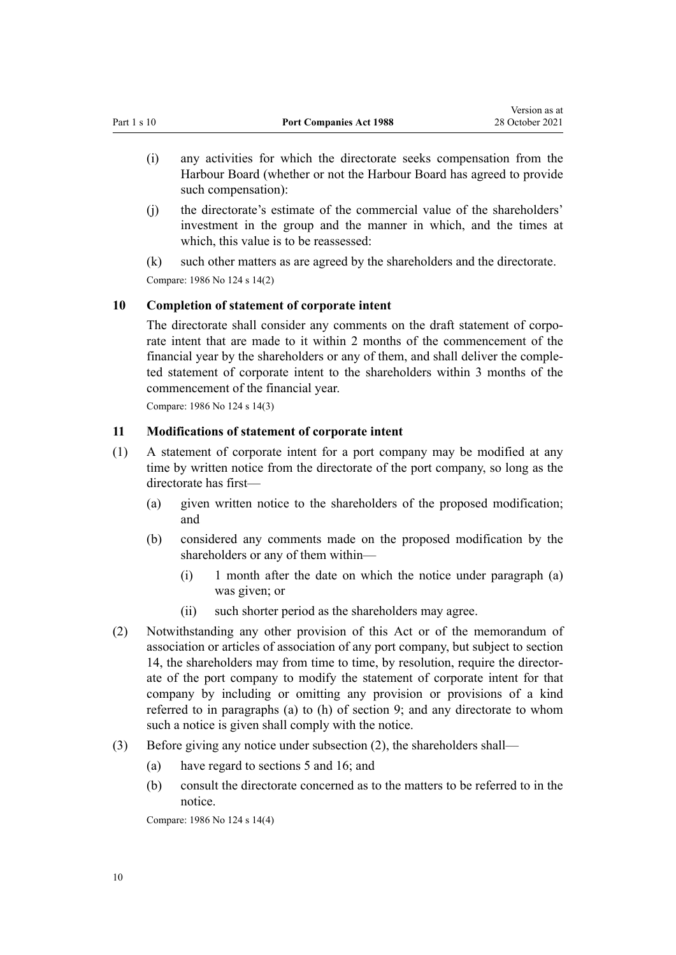Version as at

- <span id="page-9-0"></span>(i) any activities for which the directorate seeks compensation from the Harbour Board (whether or not the Harbour Board has agreed to provide such compensation):
- (j) the directorate's estimate of the commercial value of the shareholders' investment in the group and the manner in which, and the times at which, this value is to be reassessed:
- (k) such other matters as are agreed by the shareholders and the directorate.

Compare: 1986 No 124 [s 14\(2\)](http://legislation.govt.nz/pdflink.aspx?id=DLM98050)

# **10 Completion of statement of corporate intent**

The directorate shall consider any comments on the draft statement of corporate intent that are made to it within 2 months of the commencement of the financial year by the shareholders or any of them, and shall deliver the comple‐ ted statement of corporate intent to the shareholders within 3 months of the commencement of the financial year.

Compare: 1986 No 124 [s 14\(3\)](http://legislation.govt.nz/pdflink.aspx?id=DLM98050)

# **11 Modifications of statement of corporate intent**

- (1) A statement of corporate intent for a port company may be modified at any time by written notice from the directorate of the port company, so long as the directorate has first—
	- (a) given written notice to the shareholders of the proposed modification; and
	- (b) considered any comments made on the proposed modification by the shareholders or any of them within—
		- (i) 1 month after the date on which the notice under paragraph (a) was given; or
		- (ii) such shorter period as the shareholders may agree.
- (2) Notwithstanding any other provision of this Act or of the memorandum of association or articles of association of any port company, but subject to [section](#page-10-0) [14,](#page-10-0) the shareholders may from time to time, by resolution, require the director‐ ate of the port company to modify the statement of corporate intent for that company by including or omitting any provision or provisions of a kind referred to in paragraphs (a) to (h) of [section 9;](#page-8-0) and any directorate to whom such a notice is given shall comply with the notice.
- (3) Before giving any notice under subsection (2), the shareholders shall—
	- (a) have regard to [sections 5](#page-6-0) and [16](#page-11-0); and
	- (b) consult the directorate concerned as to the matters to be referred to in the notice.

Compare: 1986 No 124 [s 14\(4\)](http://legislation.govt.nz/pdflink.aspx?id=DLM98050)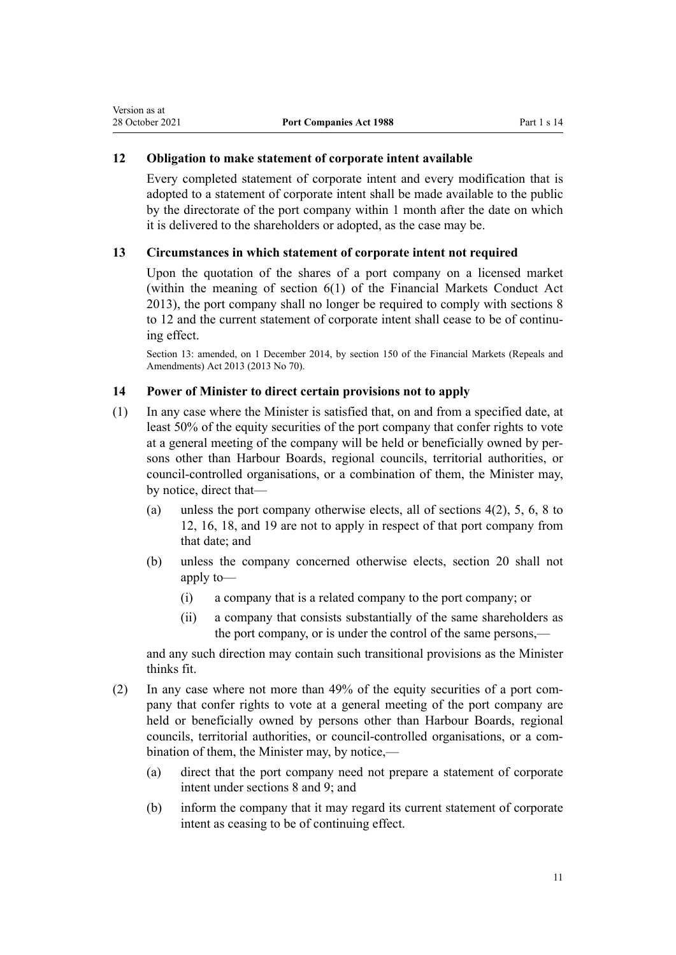#### <span id="page-10-0"></span>**12 Obligation to make statement of corporate intent available**

Every completed statement of corporate intent and every modification that is adopted to a statement of corporate intent shall be made available to the public by the directorate of the port company within 1 month after the date on which it is delivered to the shareholders or adopted, as the case may be.

# **13 Circumstances in which statement of corporate intent not required**

Upon the quotation of the shares of a port company on a licensed market (within the meaning of [section 6\(1\)](http://legislation.govt.nz/pdflink.aspx?id=DLM4090590) of the Financial Markets Conduct Act 2013), the port company shall no longer be required to comply with [sections 8](#page-8-0) [to 12](#page-8-0) and the current statement of corporate intent shall cease to be of continuing effect.

Section 13: amended, on 1 December 2014, by [section 150](http://legislation.govt.nz/pdflink.aspx?id=DLM5561603) of the Financial Markets (Repeals and Amendments) Act 2013 (2013 No 70).

# **14 Power of Minister to direct certain provisions not to apply**

- (1) In any case where the Minister is satisfied that, on and from a specified date, at least 50% of the equity securities of the port company that confer rights to vote at a general meeting of the company will be held or beneficially owned by per‐ sons other than Harbour Boards, regional councils, territorial authorities, or council-controlled organisations, or a combination of them, the Minister may, by notice, direct that—
	- (a) unless the port company otherwise elects, all of [sections 4\(2\),](#page-6-0) [5,](#page-6-0) [6](#page-6-0), [8 to](#page-8-0) [12,](#page-8-0) [16](#page-11-0), [18](#page-12-0), and [19](#page-13-0) are not to apply in respect of that port company from that date; and
	- (b) unless the company concerned otherwise elects, [section 20](#page-13-0) shall not apply to—
		- (i) a company that is a related company to the port company; or
		- (ii) a company that consists substantially of the same shareholders as the port company, or is under the control of the same persons,—

and any such direction may contain such transitional provisions as the Minister thinks fit.

- (2) In any case where not more than 49% of the equity securities of a port com‐ pany that confer rights to vote at a general meeting of the port company are held or beneficially owned by persons other than Harbour Boards, regional councils, territorial authorities, or council-controlled organisations, or a com‐ bination of them, the Minister may, by notice,—
	- (a) direct that the port company need not prepare a statement of corporate intent under [sections 8](#page-8-0) and [9](#page-8-0); and
	- (b) inform the company that it may regard its current statement of corporate intent as ceasing to be of continuing effect.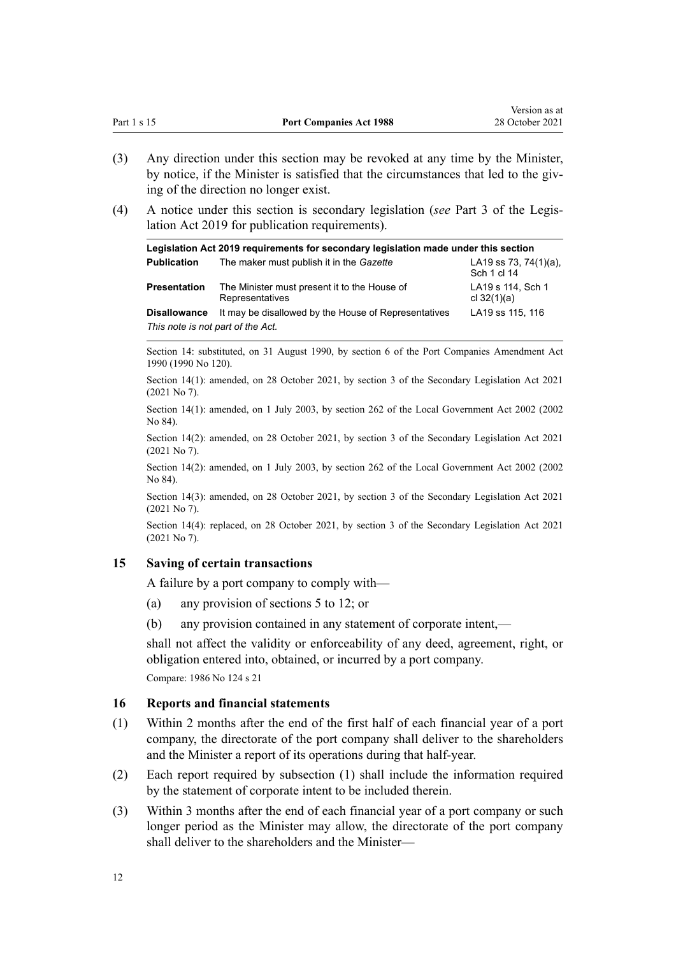<span id="page-11-0"></span>

|             |                                | Version as at   |
|-------------|--------------------------------|-----------------|
| Part 1 s 15 | <b>Port Companies Act 1988</b> | 28 October 2021 |

- (3) Any direction under this section may be revoked at any time by the Minister, by notice, if the Minister is satisfied that the circumstances that led to the giving of the direction no longer exist.
- (4) A notice under this section is secondary legislation (*see* [Part 3](http://legislation.govt.nz/pdflink.aspx?id=DLM7298343) of the Legis‐ lation Act 2019 for publication requirements).

| Legislation Act 2019 requirements for secondary legislation made under this section |                                                                 |                                          |  |
|-------------------------------------------------------------------------------------|-----------------------------------------------------------------|------------------------------------------|--|
| <b>Publication</b>                                                                  | The maker must publish it in the Gazette                        | LA19 ss 73, 74 $(1)(a)$ ,<br>Sch 1 cl 14 |  |
| <b>Presentation</b>                                                                 | The Minister must present it to the House of<br>Representatives | LA19 s 114, Sch 1<br>cl $32(1)(a)$       |  |
| <b>Disallowance</b>                                                                 | It may be disallowed by the House of Representatives            | LA19 ss 115, 116                         |  |
| This note is not part of the Act.                                                   |                                                                 |                                          |  |

Section 14: substituted, on 31 August 1990, by section 6 of the Port Companies Amendment Act 1990 (1990 No 120).

Section 14(1): amended, on 28 October 2021, by [section 3](http://legislation.govt.nz/pdflink.aspx?id=LMS268932) of the Secondary Legislation Act 2021 (2021 No 7).

Section 14(1): amended, on 1 July 2003, by [section 262](http://legislation.govt.nz/pdflink.aspx?id=DLM174088) of the Local Government Act 2002 (2002 No 84).

Section 14(2): amended, on 28 October 2021, by [section 3](http://legislation.govt.nz/pdflink.aspx?id=LMS268932) of the Secondary Legislation Act 2021 (2021 No 7).

Section 14(2): amended, on 1 July 2003, by [section 262](http://legislation.govt.nz/pdflink.aspx?id=DLM174088) of the Local Government Act 2002 (2002 No 84).

Section 14(3): amended, on 28 October 2021, by [section 3](http://legislation.govt.nz/pdflink.aspx?id=LMS268932) of the Secondary Legislation Act 2021 (2021 No 7).

Section 14(4): replaced, on 28 October 2021, by [section 3](http://legislation.govt.nz/pdflink.aspx?id=LMS268932) of the Secondary Legislation Act 2021 (2021 No 7).

#### **15 Saving of certain transactions**

A failure by a port company to comply with—

- (a) any provision of [sections 5 to 12](#page-6-0); or
- (b) any provision contained in any statement of corporate intent,—

shall not affect the validity or enforceability of any deed, agreement, right, or obligation entered into, obtained, or incurred by a port company. Compare: 1986 No 124 [s 21](http://legislation.govt.nz/pdflink.aspx?id=DLM98065)

### **16 Reports and financial statements**

- (1) Within 2 months after the end of the first half of each financial year of a port company, the directorate of the port company shall deliver to the shareholders and the Minister a report of its operations during that half-year.
- (2) Each report required by subsection (1) shall include the information required by the statement of corporate intent to be included therein.
- (3) Within 3 months after the end of each financial year of a port company or such longer period as the Minister may allow, the directorate of the port company shall deliver to the shareholders and the Minister—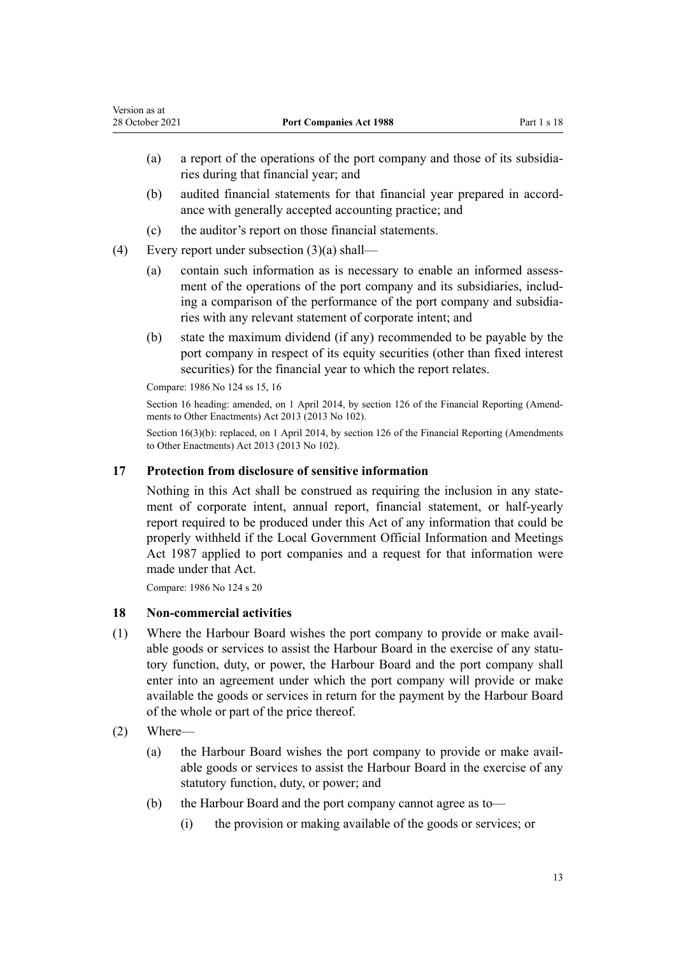- <span id="page-12-0"></span>(a) a report of the operations of the port company and those of its subsidia‐ ries during that financial year; and
- (b) audited financial statements for that financial year prepared in accord‐ ance with generally accepted accounting practice; and
- (c) the auditor's report on those financial statements.
- (4) Every report under subsection (3)(a) shall—
	- (a) contain such information as is necessary to enable an informed assessment of the operations of the port company and its subsidiaries, including a comparison of the performance of the port company and subsidia‐ ries with any relevant statement of corporate intent; and
	- (b) state the maximum dividend (if any) recommended to be payable by the port company in respect of its equity securities (other than fixed interest securities) for the financial year to which the report relates.

Compare: 1986 No 124 [ss 15](http://legislation.govt.nz/pdflink.aspx?id=DLM98052), [16](http://legislation.govt.nz/pdflink.aspx?id=DLM98053)

Section 16 heading: amended, on 1 April 2014, by [section 126](http://legislation.govt.nz/pdflink.aspx?id=DLM5740665) of the Financial Reporting (Amendments to Other Enactments) Act 2013 (2013 No 102).

Section 16(3)(b): replaced, on 1 April 2014, by [section 126](http://legislation.govt.nz/pdflink.aspx?id=DLM5740665) of the Financial Reporting (Amendments to Other Enactments) Act 2013 (2013 No 102).

#### **17 Protection from disclosure of sensitive information**

Nothing in this Act shall be construed as requiring the inclusion in any state‐ ment of corporate intent, annual report, financial statement, or half-yearly report required to be produced under this Act of any information that could be properly withheld if the [Local Government Official Information and Meetings](http://legislation.govt.nz/pdflink.aspx?id=DLM122241) [Act 1987](http://legislation.govt.nz/pdflink.aspx?id=DLM122241) applied to port companies and a request for that information were made under that Act.

Compare: 1986 No 124 [s 20](http://legislation.govt.nz/pdflink.aspx?id=DLM98063)

#### **18 Non-commercial activities**

- (1) Where the Harbour Board wishes the port company to provide or make avail‐ able goods or services to assist the Harbour Board in the exercise of any statutory function, duty, or power, the Harbour Board and the port company shall enter into an agreement under which the port company will provide or make available the goods or services in return for the payment by the Harbour Board of the whole or part of the price thereof.
- (2) Where—
	- (a) the Harbour Board wishes the port company to provide or make avail‐ able goods or services to assist the Harbour Board in the exercise of any statutory function, duty, or power; and
	- (b) the Harbour Board and the port company cannot agree as to—
		- (i) the provision or making available of the goods or services; or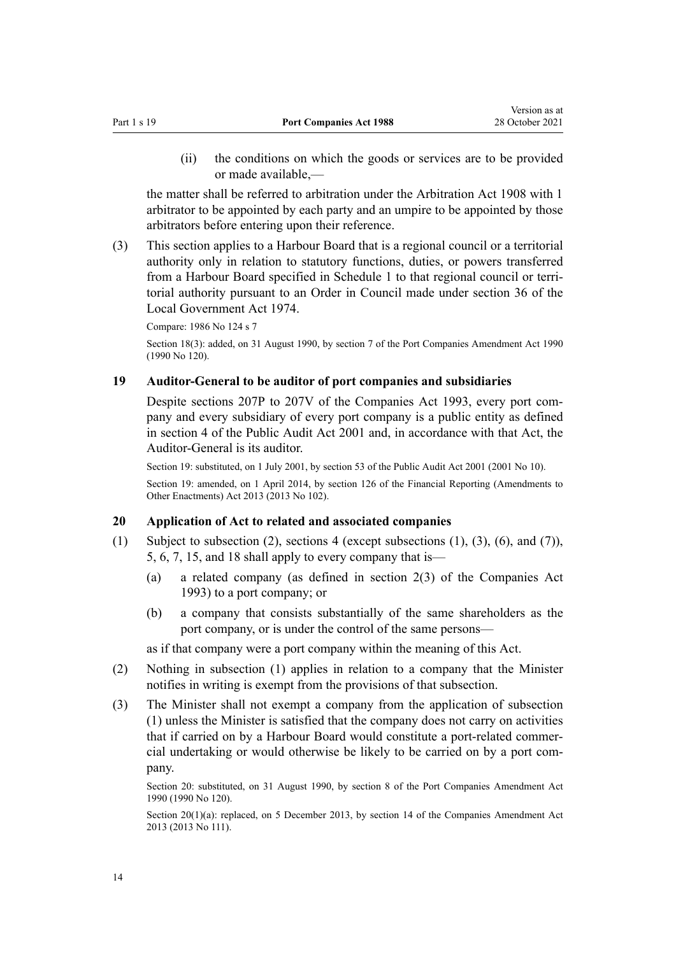<span id="page-13-0"></span>(ii) the conditions on which the goods or services are to be provided or made available,—

the matter shall be referred to arbitration under the Arbitration Act 1908 with 1 arbitrator to be appointed by each party and an umpire to be appointed by those arbitrators before entering upon their reference.

(3) This section applies to a Harbour Board that is a regional council or a territorial authority only in relation to statutory functions, duties, or powers transferred from a Harbour Board specified in [Schedule 1](#page-28-0) to that regional council or terri‐ torial authority pursuant to an Order in Council made under [section 36](http://legislation.govt.nz/pdflink.aspx?id=DLM416405) of the Local Government Act 1974.

Compare: 1986 No 124 [s 7](http://legislation.govt.nz/pdflink.aspx?id=DLM98021)

Section 18(3): added, on 31 August 1990, by section 7 of the Port Companies Amendment Act 1990 (1990 No 120).

#### **19 Auditor-General to be auditor of port companies and subsidiaries**

Despite [sections 207P to 207V](http://legislation.govt.nz/pdflink.aspx?id=DLM6041591) of the Companies Act 1993, every port company and every subsidiary of every port company is a public entity as defined in [section 4](http://legislation.govt.nz/pdflink.aspx?id=DLM88548) of the Public Audit Act 2001 and, in accordance with that Act, the Auditor-General is its auditor.

Section 19: substituted, on 1 July 2001, by [section 53](http://legislation.govt.nz/pdflink.aspx?id=DLM88957) of the Public Audit Act 2001 (2001 No 10). Section 19: amended, on 1 April 2014, by [section 126](http://legislation.govt.nz/pdflink.aspx?id=DLM5740665) of the Financial Reporting (Amendments to Other Enactments) Act 2013 (2013 No 102).

#### **20 Application of Act to related and associated companies**

- (1) Subject to subsection (2), [sections 4](#page-6-0) (except subsections (1), (3), (6), and (7)), [5,](#page-6-0) [6](#page-6-0), [7,](#page-7-0) [15](#page-11-0), and [18](#page-12-0) shall apply to every company that is—
	- (a) a related company (as defined in [section 2\(3\)](http://legislation.govt.nz/pdflink.aspx?id=DLM319576) of the Companies Act 1993) to a port company; or
	- (b) a company that consists substantially of the same shareholders as the port company, or is under the control of the same persons—

as if that company were a port company within the meaning of this Act.

- (2) Nothing in subsection (1) applies in relation to a company that the Minister notifies in writing is exempt from the provisions of that subsection.
- (3) The Minister shall not exempt a company from the application of subsection (1) unless the Minister is satisfied that the company does not carry on activities that if carried on by a Harbour Board would constitute a port-related commer‐ cial undertaking or would otherwise be likely to be carried on by a port com‐ pany.

Section 20: substituted, on 31 August 1990, by section 8 of the Port Companies Amendment Act 1990 (1990 No 120).

Section 20(1)(a): replaced, on 5 December 2013, by [section 14](http://legislation.govt.nz/pdflink.aspx?id=DLM5620822) of the Companies Amendment Act 2013 (2013 No 111).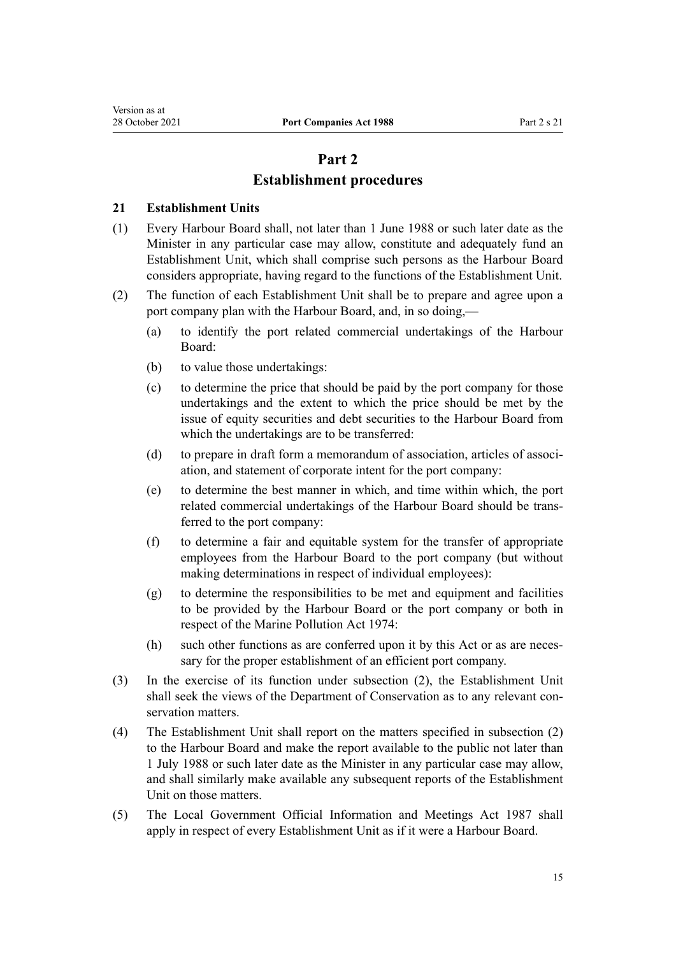# **Part 2**

# **Establishment procedures**

#### <span id="page-14-0"></span>**21 Establishment Units**

- (1) Every Harbour Board shall, not later than 1 June 1988 or such later date as the Minister in any particular case may allow, constitute and adequately fund an Establishment Unit, which shall comprise such persons as the Harbour Board considers appropriate, having regard to the functions of the Establishment Unit.
- (2) The function of each Establishment Unit shall be to prepare and agree upon a port company plan with the Harbour Board, and, in so doing,—
	- (a) to identify the port related commercial undertakings of the Harbour Board:
	- (b) to value those undertakings:
	- (c) to determine the price that should be paid by the port company for those undertakings and the extent to which the price should be met by the issue of equity securities and debt securities to the Harbour Board from which the undertakings are to be transferred:
	- (d) to prepare in draft form a memorandum of association, articles of association, and statement of corporate intent for the port company:
	- (e) to determine the best manner in which, and time within which, the port related commercial undertakings of the Harbour Board should be trans‐ ferred to the port company:
	- (f) to determine a fair and equitable system for the transfer of appropriate employees from the Harbour Board to the port company (but without making determinations in respect of individual employees):
	- (g) to determine the responsibilities to be met and equipment and facilities to be provided by the Harbour Board or the port company or both in respect of the Marine Pollution Act 1974:
	- (h) such other functions as are conferred upon it by this Act or as are necessary for the proper establishment of an efficient port company.
- (3) In the exercise of its function under subsection (2), the Establishment Unit shall seek the views of the Department of Conservation as to any relevant conservation matters.
- (4) The Establishment Unit shall report on the matters specified in subsection (2) to the Harbour Board and make the report available to the public not later than 1 July 1988 or such later date as the Minister in any particular case may allow, and shall similarly make available any subsequent reports of the Establishment Unit on those matters.
- (5) The [Local Government Official Information and Meetings Act 1987](http://legislation.govt.nz/pdflink.aspx?id=DLM122241) shall apply in respect of every Establishment Unit as if it were a Harbour Board.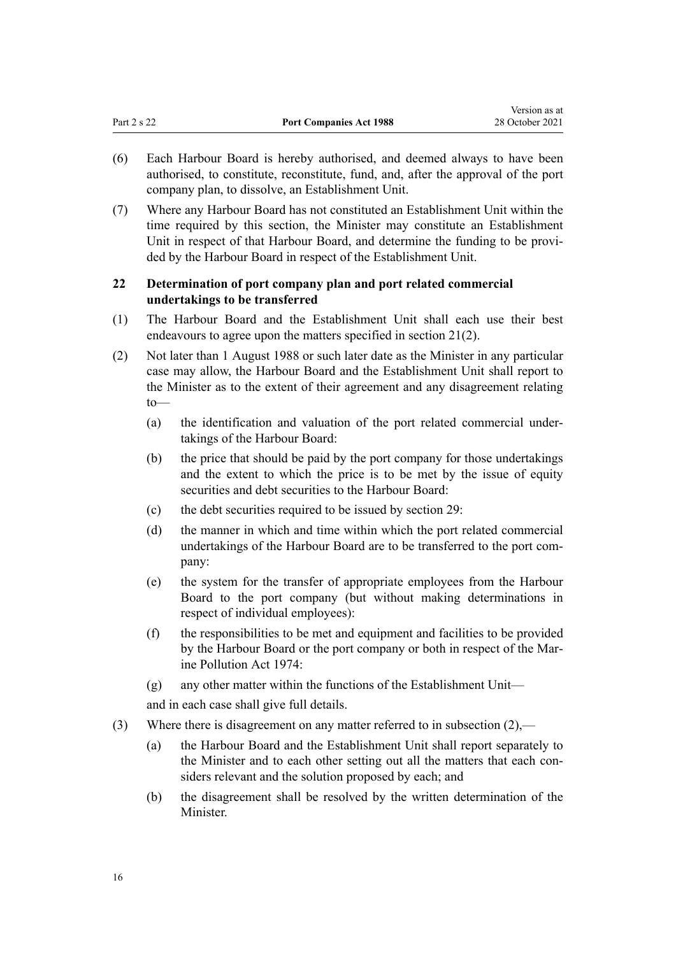<span id="page-15-0"></span>

|             |                                | -------------   |
|-------------|--------------------------------|-----------------|
| Part 2 s 22 | <b>Port Companies Act 1988</b> | 28 October 2021 |

Version as at

- (6) Each Harbour Board is hereby authorised, and deemed always to have been authorised, to constitute, reconstitute, fund, and, after the approval of the port company plan, to dissolve, an Establishment Unit.
- (7) Where any Harbour Board has not constituted an Establishment Unit within the time required by this section, the Minister may constitute an Establishment Unit in respect of that Harbour Board, and determine the funding to be provided by the Harbour Board in respect of the Establishment Unit.

#### **22 Determination of port company plan and port related commercial undertakings to be transferred**

- (1) The Harbour Board and the Establishment Unit shall each use their best endeavours to agree upon the matters specified in [section 21\(2\)](#page-14-0).
- (2) Not later than 1 August 1988 or such later date as the Minister in any particular case may allow, the Harbour Board and the Establishment Unit shall report to the Minister as to the extent of their agreement and any disagreement relating  $t_0$ —
	- (a) the identification and valuation of the port related commercial under‐ takings of the Harbour Board:
	- (b) the price that should be paid by the port company for those undertakings and the extent to which the price is to be met by the issue of equity securities and debt securities to the Harbour Board:
	- (c) the debt securities required to be issued by [section 29:](#page-19-0)
	- (d) the manner in which and time within which the port related commercial undertakings of the Harbour Board are to be transferred to the port com‐ pany:
	- (e) the system for the transfer of appropriate employees from the Harbour Board to the port company (but without making determinations in respect of individual employees):
	- (f) the responsibilities to be met and equipment and facilities to be provided by the Harbour Board or the port company or both in respect of the Mar‐ ine Pollution Act 1974:
	- (g) any other matter within the functions of the Establishment Unit—

and in each case shall give full details.

- (3) Where there is disagreement on any matter referred to in subsection (2),—
	- (a) the Harbour Board and the Establishment Unit shall report separately to the Minister and to each other setting out all the matters that each considers relevant and the solution proposed by each; and
	- (b) the disagreement shall be resolved by the written determination of the Minister.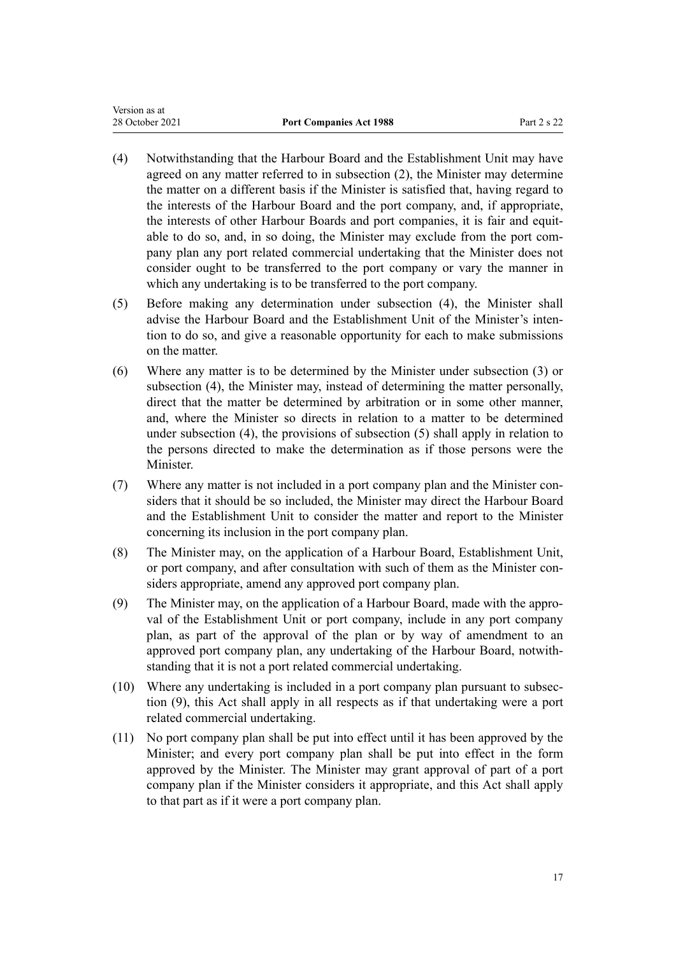- (4) Notwithstanding that the Harbour Board and the Establishment Unit may have agreed on any matter referred to in subsection (2), the Minister may determine the matter on a different basis if the Minister is satisfied that, having regard to the interests of the Harbour Board and the port company, and, if appropriate, the interests of other Harbour Boards and port companies, it is fair and equitable to do so, and, in so doing, the Minister may exclude from the port company plan any port related commercial undertaking that the Minister does not consider ought to be transferred to the port company or vary the manner in which any undertaking is to be transferred to the port company.
- (5) Before making any determination under subsection (4), the Minister shall advise the Harbour Board and the Establishment Unit of the Minister's inten‐ tion to do so, and give a reasonable opportunity for each to make submissions on the matter.
- (6) Where any matter is to be determined by the Minister under subsection (3) or subsection (4), the Minister may, instead of determining the matter personally, direct that the matter be determined by arbitration or in some other manner, and, where the Minister so directs in relation to a matter to be determined under subsection (4), the provisions of subsection (5) shall apply in relation to the persons directed to make the determination as if those persons were the Minister.
- (7) Where any matter is not included in a port company plan and the Minister con‐ siders that it should be so included, the Minister may direct the Harbour Board and the Establishment Unit to consider the matter and report to the Minister concerning its inclusion in the port company plan.
- (8) The Minister may, on the application of a Harbour Board, Establishment Unit, or port company, and after consultation with such of them as the Minister considers appropriate, amend any approved port company plan.
- (9) The Minister may, on the application of a Harbour Board, made with the appro‐ val of the Establishment Unit or port company, include in any port company plan, as part of the approval of the plan or by way of amendment to an approved port company plan, any undertaking of the Harbour Board, notwith‐ standing that it is not a port related commercial undertaking.
- (10) Where any undertaking is included in a port company plan pursuant to subsec‐ tion (9), this Act shall apply in all respects as if that undertaking were a port related commercial undertaking.
- (11) No port company plan shall be put into effect until it has been approved by the Minister; and every port company plan shall be put into effect in the form approved by the Minister. The Minister may grant approval of part of a port company plan if the Minister considers it appropriate, and this Act shall apply to that part as if it were a port company plan.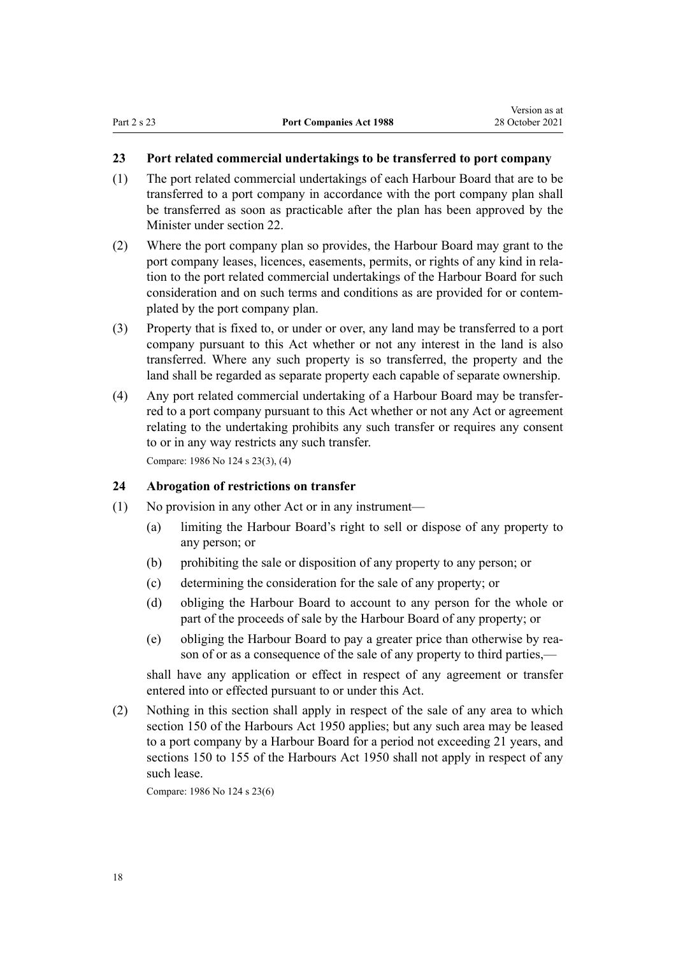# <span id="page-17-0"></span>**23 Port related commercial undertakings to be transferred to port company**

- (1) The port related commercial undertakings of each Harbour Board that are to be transferred to a port company in accordance with the port company plan shall be transferred as soon as practicable after the plan has been approved by the Minister under [section 22](#page-15-0).
- (2) Where the port company plan so provides, the Harbour Board may grant to the port company leases, licences, easements, permits, or rights of any kind in relation to the port related commercial undertakings of the Harbour Board for such consideration and on such terms and conditions as are provided for or contemplated by the port company plan.
- (3) Property that is fixed to, or under or over, any land may be transferred to a port company pursuant to this Act whether or not any interest in the land is also transferred. Where any such property is so transferred, the property and the land shall be regarded as separate property each capable of separate ownership.
- (4) Any port related commercial undertaking of a Harbour Board may be transfer‐ red to a port company pursuant to this Act whether or not any Act or agreement relating to the undertaking prohibits any such transfer or requires any consent to or in any way restricts any such transfer. Compare: 1986 No 124 [s 23\(3\), \(4\)](http://legislation.govt.nz/pdflink.aspx?id=DLM98067)

**24 Abrogation of restrictions on transfer**

- (1) No provision in any other Act or in any instrument—
	- (a) limiting the Harbour Board's right to sell or dispose of any property to any person; or
	- (b) prohibiting the sale or disposition of any property to any person; or
	- (c) determining the consideration for the sale of any property; or
	- (d) obliging the Harbour Board to account to any person for the whole or part of the proceeds of sale by the Harbour Board of any property; or
	- (e) obliging the Harbour Board to pay a greater price than otherwise by rea‐ son of or as a consequence of the sale of any property to third parties,—

shall have any application or effect in respect of any agreement or transfer entered into or effected pursuant to or under this Act.

(2) Nothing in this section shall apply in respect of the sale of any area to which section 150 of the Harbours Act 1950 applies; but any such area may be leased to a port company by a Harbour Board for a period not exceeding 21 years, and sections 150 to 155 of the Harbours Act 1950 shall not apply in respect of any such lease.

Compare: 1986 No 124 [s 23\(6\)](http://legislation.govt.nz/pdflink.aspx?id=DLM98067)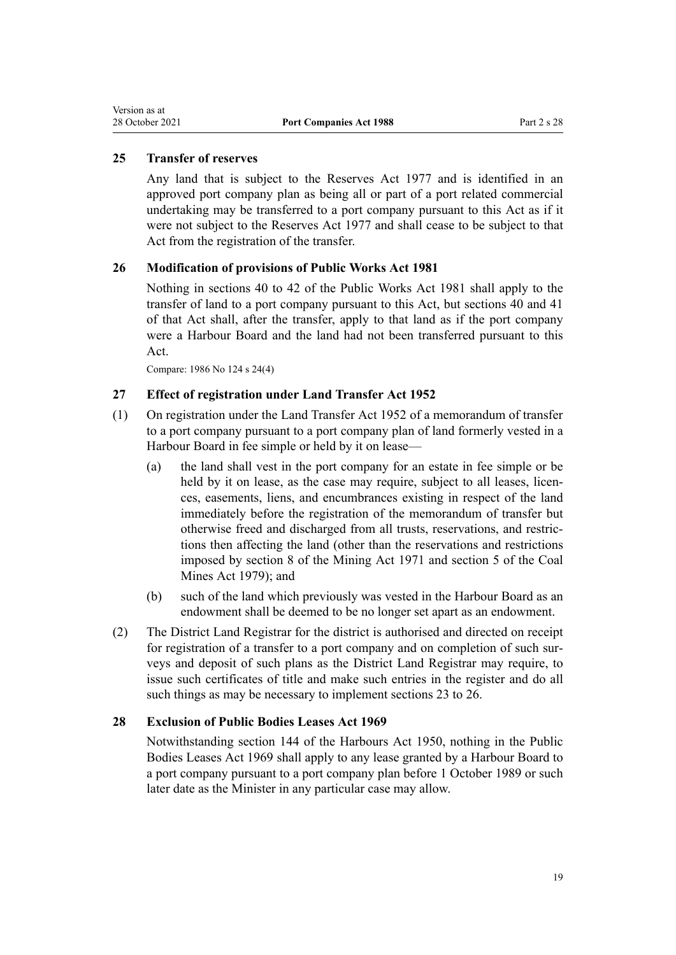### <span id="page-18-0"></span>**25 Transfer of reserves**

Any land that is subject to the [Reserves Act 1977](http://legislation.govt.nz/pdflink.aspx?id=DLM444304) and is identified in an approved port company plan as being all or part of a port related commercial undertaking may be transferred to a port company pursuant to this Act as if it were not subject to the Reserves Act 1977 and shall cease to be subject to that Act from the registration of the transfer.

#### **26 Modification of provisions of Public Works Act 1981**

Nothing in [sections 40 to 42](http://legislation.govt.nz/pdflink.aspx?id=DLM46055) of the Public Works Act 1981 shall apply to the transfer of land to a port company pursuant to this Act, but sections 40 and [41](http://legislation.govt.nz/pdflink.aspx?id=DLM46068) of that Act shall, after the transfer, apply to that land as if the port company were a Harbour Board and the land had not been transferred pursuant to this Act.

Compare: 1986 No 124 [s 24\(4\)](http://legislation.govt.nz/pdflink.aspx?id=DLM98075)

#### **27 Effect of registration under Land Transfer Act 1952**

- (1) On registration under the [Land Transfer Act 1952](http://legislation.govt.nz/pdflink.aspx?id=DLM269031) of a memorandum of transfer to a port company pursuant to a port company plan of land formerly vested in a Harbour Board in fee simple or held by it on lease—
	- (a) the land shall vest in the port company for an estate in fee simple or be held by it on lease, as the case may require, subject to all leases, licences, easements, liens, and encumbrances existing in respect of the land immediately before the registration of the memorandum of transfer but otherwise freed and discharged from all trusts, reservations, and restric‐ tions then affecting the land (other than the reservations and restrictions imposed by section 8 of the Mining Act 1971 and section 5 of the Coal Mines Act 1979); and
	- (b) such of the land which previously was vested in the Harbour Board as an endowment shall be deemed to be no longer set apart as an endowment.
- (2) The District Land Registrar for the district is authorised and directed on receipt for registration of a transfer to a port company and on completion of such surveys and deposit of such plans as the District Land Registrar may require, to issue such certificates of title and make such entries in the register and do all such things as may be necessary to implement [sections 23 to 26](#page-17-0).

#### **28 Exclusion of Public Bodies Leases Act 1969**

Notwithstanding section 144 of the Harbours Act 1950, nothing in the [Public](http://legislation.govt.nz/pdflink.aspx?id=DLM394841) [Bodies Leases Act 1969](http://legislation.govt.nz/pdflink.aspx?id=DLM394841) shall apply to any lease granted by a Harbour Board to a port company pursuant to a port company plan before 1 October 1989 or such later date as the Minister in any particular case may allow.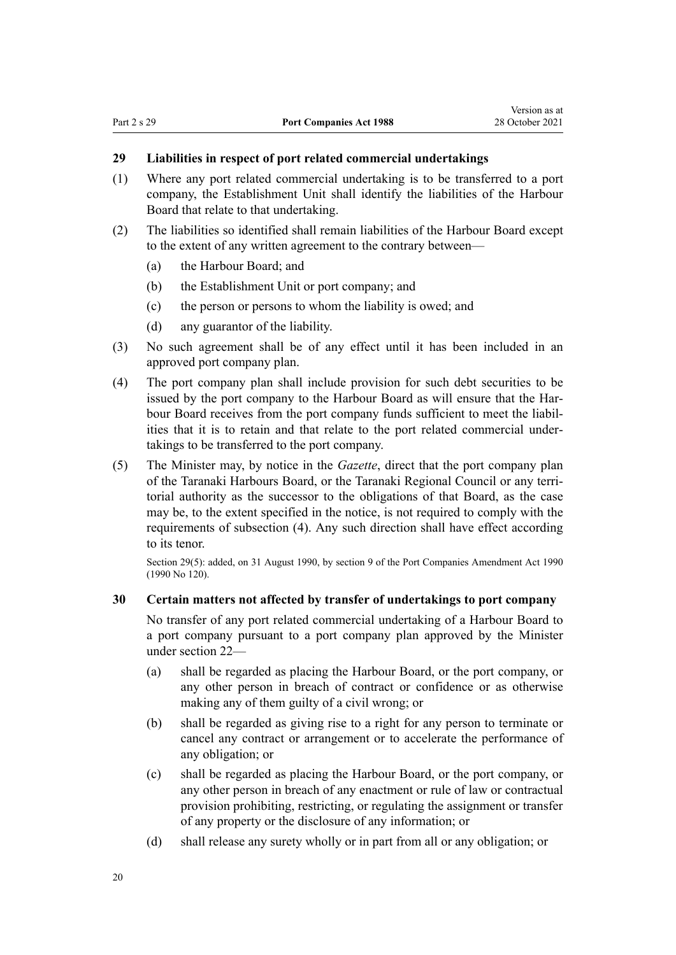# <span id="page-19-0"></span>**29 Liabilities in respect of port related commercial undertakings**

- (1) Where any port related commercial undertaking is to be transferred to a port company, the Establishment Unit shall identify the liabilities of the Harbour Board that relate to that undertaking.
- (2) The liabilities so identified shall remain liabilities of the Harbour Board except to the extent of any written agreement to the contrary between—
	- (a) the Harbour Board; and
	- (b) the Establishment Unit or port company; and
	- (c) the person or persons to whom the liability is owed; and
	- (d) any guarantor of the liability.
- (3) No such agreement shall be of any effect until it has been included in an approved port company plan.
- (4) The port company plan shall include provision for such debt securities to be issued by the port company to the Harbour Board as will ensure that the Harbour Board receives from the port company funds sufficient to meet the liabil‐ ities that it is to retain and that relate to the port related commercial under‐ takings to be transferred to the port company.
- (5) The Minister may, by notice in the *Gazette*, direct that the port company plan of the Taranaki Harbours Board, or the Taranaki Regional Council or any terri‐ torial authority as the successor to the obligations of that Board, as the case may be, to the extent specified in the notice, is not required to comply with the requirements of subsection (4). Any such direction shall have effect according to its tenor.

Section 29(5): added, on 31 August 1990, by section 9 of the Port Companies Amendment Act 1990 (1990 No 120).

#### **30 Certain matters not affected by transfer of undertakings to port company**

No transfer of any port related commercial undertaking of a Harbour Board to a port company pursuant to a port company plan approved by the Minister under [section 22](#page-15-0)—

- (a) shall be regarded as placing the Harbour Board, or the port company, or any other person in breach of contract or confidence or as otherwise making any of them guilty of a civil wrong; or
- (b) shall be regarded as giving rise to a right for any person to terminate or cancel any contract or arrangement or to accelerate the performance of any obligation; or
- (c) shall be regarded as placing the Harbour Board, or the port company, or any other person in breach of any enactment or rule of law or contractual provision prohibiting, restricting, or regulating the assignment or transfer of any property or the disclosure of any information; or
- (d) shall release any surety wholly or in part from all or any obligation; or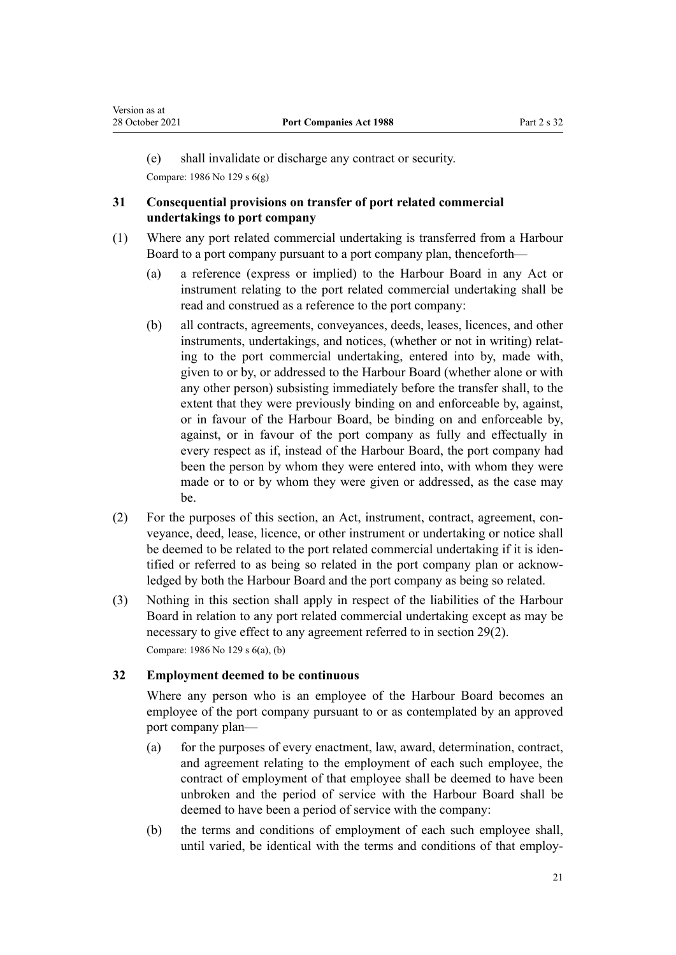<span id="page-20-0"></span>(e) shall invalidate or discharge any contract or security.

Compare: 1986 No 129 [s 6\(g\)](http://legislation.govt.nz/pdflink.aspx?id=DLM99956)

#### **31 Consequential provisions on transfer of port related commercial undertakings to port company**

- (1) Where any port related commercial undertaking is transferred from a Harbour Board to a port company pursuant to a port company plan, thenceforth—
	- (a) a reference (express or implied) to the Harbour Board in any Act or instrument relating to the port related commercial undertaking shall be read and construed as a reference to the port company:
	- (b) all contracts, agreements, conveyances, deeds, leases, licences, and other instruments, undertakings, and notices, (whether or not in writing) relating to the port commercial undertaking, entered into by, made with, given to or by, or addressed to the Harbour Board (whether alone or with any other person) subsisting immediately before the transfer shall, to the extent that they were previously binding on and enforceable by, against, or in favour of the Harbour Board, be binding on and enforceable by, against, or in favour of the port company as fully and effectually in every respect as if, instead of the Harbour Board, the port company had been the person by whom they were entered into, with whom they were made or to or by whom they were given or addressed, as the case may be.
- $(2)$  For the purposes of this section, an Act, instrument, contract, agreement, conveyance, deed, lease, licence, or other instrument or undertaking or notice shall be deemed to be related to the port related commercial undertaking if it is identified or referred to as being so related in the port company plan or acknow‐ ledged by both the Harbour Board and the port company as being so related.
- (3) Nothing in this section shall apply in respect of the liabilities of the Harbour Board in relation to any port related commercial undertaking except as may be necessary to give effect to any agreement referred to in [section 29\(2\)](#page-19-0). Compare: 1986 No 129 [s 6\(a\), \(b\)](http://legislation.govt.nz/pdflink.aspx?id=DLM99956)

#### **32 Employment deemed to be continuous**

Where any person who is an employee of the Harbour Board becomes an employee of the port company pursuant to or as contemplated by an approved port company plan—

- (a) for the purposes of every enactment, law, award, determination, contract, and agreement relating to the employment of each such employee, the contract of employment of that employee shall be deemed to have been unbroken and the period of service with the Harbour Board shall be deemed to have been a period of service with the company:
- (b) the terms and conditions of employment of each such employee shall, until varied, be identical with the terms and conditions of that employ‐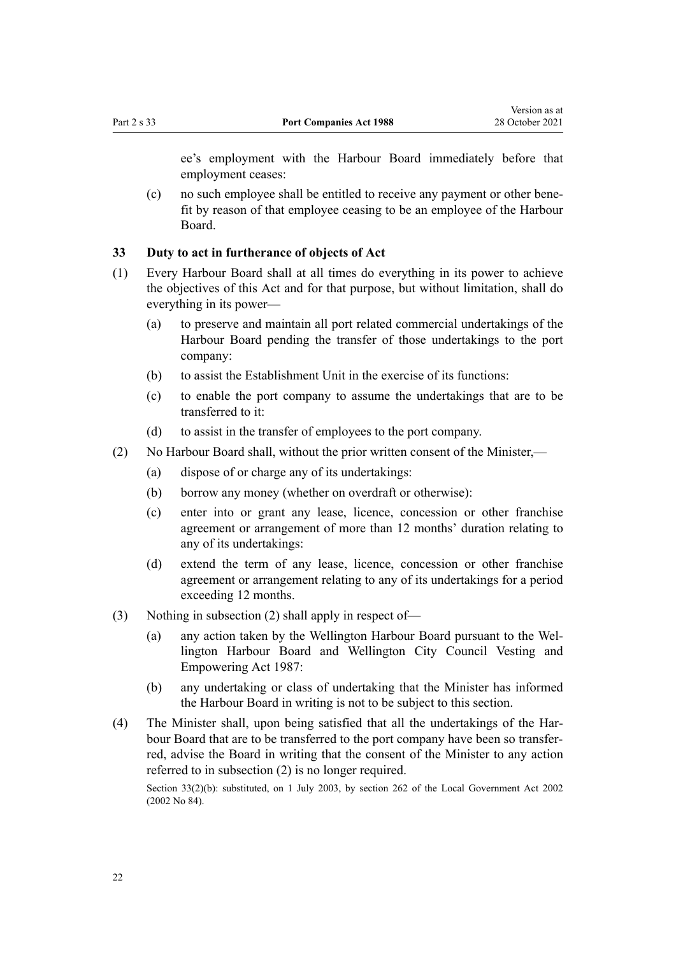<span id="page-21-0"></span>ee's employment with the Harbour Board immediately before that employment ceases:

(c) no such employee shall be entitled to receive any payment or other bene‐ fit by reason of that employee ceasing to be an employee of the Harbour Board.

#### **33 Duty to act in furtherance of objects of Act**

- (1) Every Harbour Board shall at all times do everything in its power to achieve the objectives of this Act and for that purpose, but without limitation, shall do everything in its power—
	- (a) to preserve and maintain all port related commercial undertakings of the Harbour Board pending the transfer of those undertakings to the port company:
	- (b) to assist the Establishment Unit in the exercise of its functions:
	- (c) to enable the port company to assume the undertakings that are to be transferred to it:
	- (d) to assist in the transfer of employees to the port company.
- (2) No Harbour Board shall, without the prior written consent of the Minister,—
	- (a) dispose of or charge any of its undertakings:
	- (b) borrow any money (whether on overdraft or otherwise):
	- (c) enter into or grant any lease, licence, concession or other franchise agreement or arrangement of more than 12 months' duration relating to any of its undertakings:
	- (d) extend the term of any lease, licence, concession or other franchise agreement or arrangement relating to any of its undertakings for a period exceeding 12 months.
- (3) Nothing in subsection (2) shall apply in respect of—
	- (a) any action taken by the Wellington Harbour Board pursuant to the [Wel‐](http://legislation.govt.nz/pdflink.aspx?id=DLM78106) [lington Harbour Board and Wellington City Council Vesting and](http://legislation.govt.nz/pdflink.aspx?id=DLM78106) [Empowering Act 1987:](http://legislation.govt.nz/pdflink.aspx?id=DLM78106)
	- (b) any undertaking or class of undertaking that the Minister has informed the Harbour Board in writing is not to be subject to this section.
- (4) The Minister shall, upon being satisfied that all the undertakings of the Har‐ bour Board that are to be transferred to the port company have been so transferred, advise the Board in writing that the consent of the Minister to any action referred to in subsection (2) is no longer required.

Section 33(2)(b): substituted, on 1 July 2003, by [section 262](http://legislation.govt.nz/pdflink.aspx?id=DLM174088) of the Local Government Act 2002 (2002 No 84).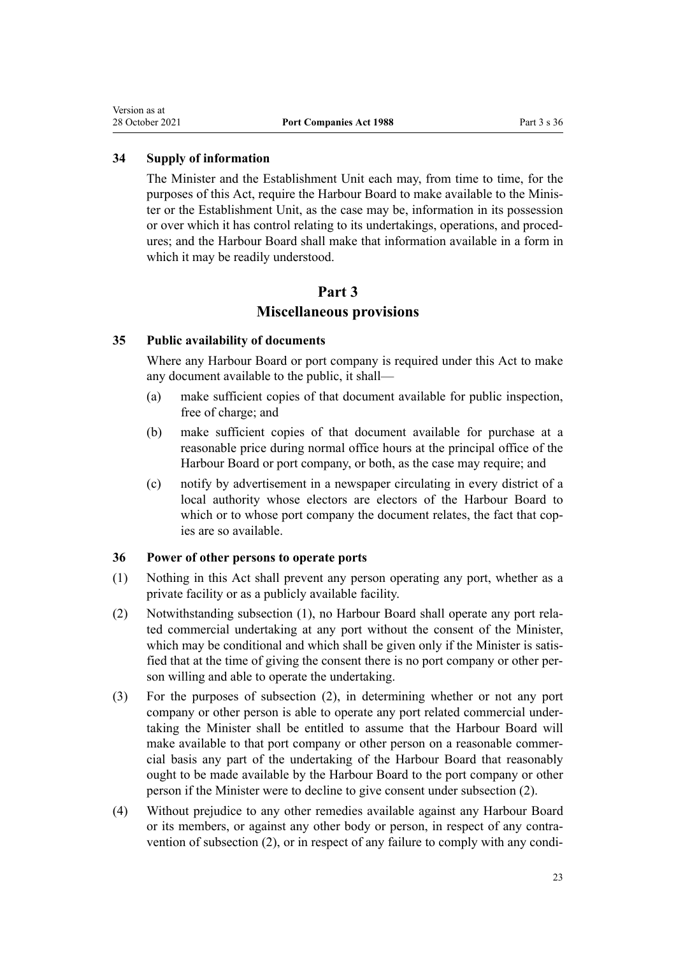#### <span id="page-22-0"></span>**34 Supply of information**

The Minister and the Establishment Unit each may, from time to time, for the purposes of this Act, require the Harbour Board to make available to the Minis‐ ter or the Establishment Unit, as the case may be, information in its possession or over which it has control relating to its undertakings, operations, and proced‐ ures; and the Harbour Board shall make that information available in a form in which it may be readily understood.

# **Part 3 Miscellaneous provisions**

#### **35 Public availability of documents**

Where any Harbour Board or port company is required under this Act to make any document available to the public, it shall—

- (a) make sufficient copies of that document available for public inspection, free of charge; and
- (b) make sufficient copies of that document available for purchase at a reasonable price during normal office hours at the principal office of the Harbour Board or port company, or both, as the case may require; and
- (c) notify by advertisement in a newspaper circulating in every district of a local authority whose electors are electors of the Harbour Board to which or to whose port company the document relates, the fact that copies are so available.

#### **36 Power of other persons to operate ports**

- (1) Nothing in this Act shall prevent any person operating any port, whether as a private facility or as a publicly available facility.
- (2) Notwithstanding subsection (1), no Harbour Board shall operate any port rela‐ ted commercial undertaking at any port without the consent of the Minister, which may be conditional and which shall be given only if the Minister is satisfied that at the time of giving the consent there is no port company or other per‐ son willing and able to operate the undertaking.
- (3) For the purposes of subsection (2), in determining whether or not any port company or other person is able to operate any port related commercial under‐ taking the Minister shall be entitled to assume that the Harbour Board will make available to that port company or other person on a reasonable commercial basis any part of the undertaking of the Harbour Board that reasonably ought to be made available by the Harbour Board to the port company or other person if the Minister were to decline to give consent under subsection (2).
- (4) Without prejudice to any other remedies available against any Harbour Board or its members, or against any other body or person, in respect of any contra‐ vention of subsection (2), or in respect of any failure to comply with any condi-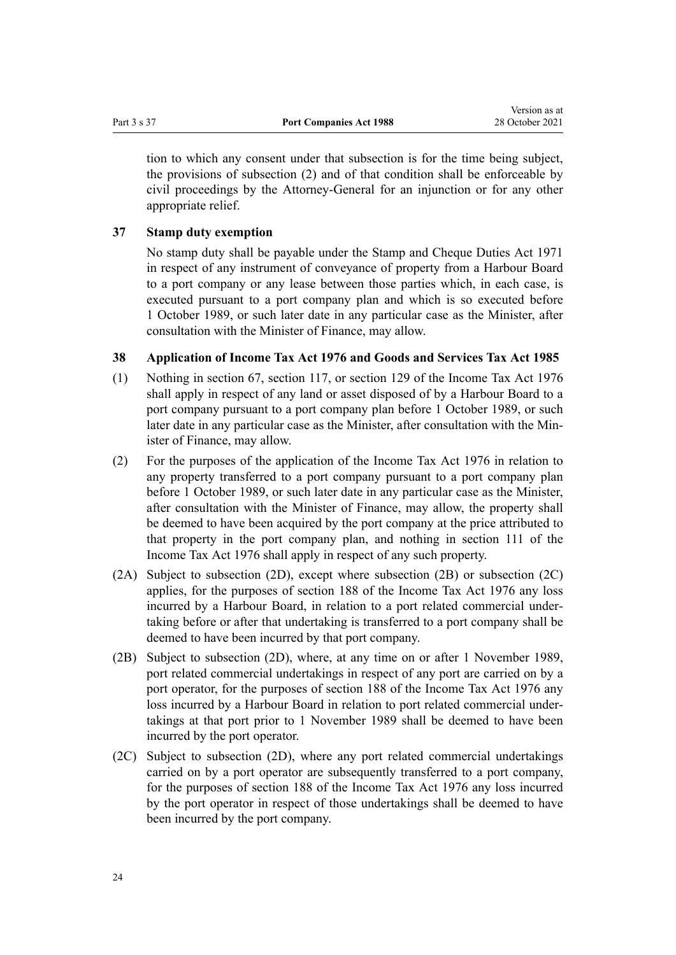<span id="page-23-0"></span>tion to which any consent under that subsection is for the time being subject, the provisions of subsection (2) and of that condition shall be enforceable by civil proceedings by the Attorney-General for an injunction or for any other appropriate relief.

#### **37 Stamp duty exemption**

No stamp duty shall be payable under the [Stamp and Cheque Duties Act 1971](http://legislation.govt.nz/pdflink.aspx?id=DLM399728) in respect of any instrument of conveyance of property from a Harbour Board to a port company or any lease between those parties which, in each case, is executed pursuant to a port company plan and which is so executed before 1 October 1989, or such later date in any particular case as the Minister, after consultation with the Minister of Finance, may allow.

#### **38 Application of Income Tax Act 1976 and Goods and Services Tax Act 1985**

- (1) Nothing in section 67, section 117, or section 129 of the Income Tax Act 1976 shall apply in respect of any land or asset disposed of by a Harbour Board to a port company pursuant to a port company plan before 1 October 1989, or such later date in any particular case as the Minister, after consultation with the Min‐ ister of Finance, may allow.
- (2) For the purposes of the application of the Income Tax Act 1976 in relation to any property transferred to a port company pursuant to a port company plan before 1 October 1989, or such later date in any particular case as the Minister, after consultation with the Minister of Finance, may allow, the property shall be deemed to have been acquired by the port company at the price attributed to that property in the port company plan, and nothing in section 111 of the Income Tax Act 1976 shall apply in respect of any such property.
- (2A) Subject to subsection (2D), except where subsection (2B) or subsection (2C) applies, for the purposes of section 188 of the Income Tax Act 1976 any loss incurred by a Harbour Board, in relation to a port related commercial under‐ taking before or after that undertaking is transferred to a port company shall be deemed to have been incurred by that port company.
- (2B) Subject to subsection (2D), where, at any time on or after 1 November 1989, port related commercial undertakings in respect of any port are carried on by a port operator, for the purposes of section 188 of the Income Tax Act 1976 any loss incurred by a Harbour Board in relation to port related commercial under‐ takings at that port prior to 1 November 1989 shall be deemed to have been incurred by the port operator.
- (2C) Subject to subsection (2D), where any port related commercial undertakings carried on by a port operator are subsequently transferred to a port company, for the purposes of section 188 of the Income Tax Act 1976 any loss incurred by the port operator in respect of those undertakings shall be deemed to have been incurred by the port company.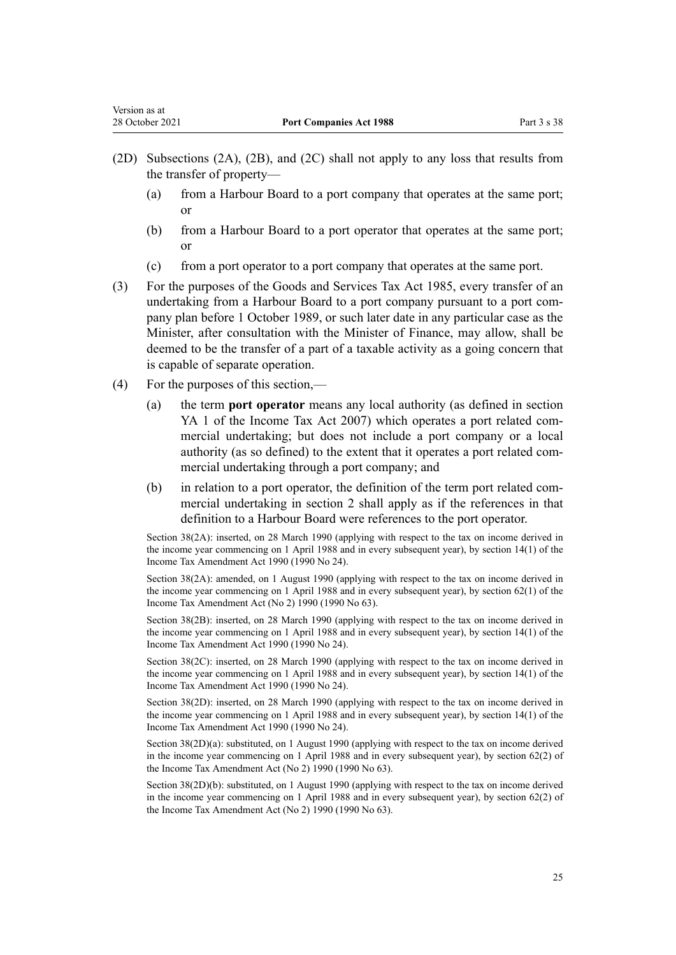- (2D) Subsections (2A), (2B), and (2C) shall not apply to any loss that results from the transfer of property—
	- (a) from a Harbour Board to a port company that operates at the same port; or
	- (b) from a Harbour Board to a port operator that operates at the same port; or
	- (c) from a port operator to a port company that operates at the same port.
- (3) For the purposes of the [Goods and Services Tax Act 1985,](http://legislation.govt.nz/pdflink.aspx?id=DLM81034) every transfer of an undertaking from a Harbour Board to a port company pursuant to a port com‐ pany plan before 1 October 1989, or such later date in any particular case as the Minister, after consultation with the Minister of Finance, may allow, shall be deemed to be the transfer of a part of a taxable activity as a going concern that is capable of separate operation.
- (4) For the purposes of this section,—
	- (a) the term **port operator** means any local authority (as defined in [section](http://legislation.govt.nz/pdflink.aspx?id=DLM1520575) [YA 1](http://legislation.govt.nz/pdflink.aspx?id=DLM1520575) of the Income Tax Act 2007) which operates a port related commercial undertaking; but does not include a port company or a local authority (as so defined) to the extent that it operates a port related com‐ mercial undertaking through a port company; and
	- (b) in relation to a port operator, the definition of the term port related commercial undertaking in [section 2](#page-2-0) shall apply as if the references in that definition to a Harbour Board were references to the port operator.

Section 38(2A): inserted, on 28 March 1990 (applying with respect to the tax on income derived in the income year commencing on 1 April 1988 and in every subsequent year), by section 14(1) of the Income Tax Amendment Act 1990 (1990 No 24).

Section 38(2A): amended, on 1 August 1990 (applying with respect to the tax on income derived in the income year commencing on 1 April 1988 and in every subsequent year), by section 62(1) of the Income Tax Amendment Act (No 2) 1990 (1990 No 63).

Section 38(2B): inserted, on 28 March 1990 (applying with respect to the tax on income derived in the income year commencing on 1 April 1988 and in every subsequent year), by section 14(1) of the Income Tax Amendment Act 1990 (1990 No 24).

Section 38(2C): inserted, on 28 March 1990 (applying with respect to the tax on income derived in the income year commencing on 1 April 1988 and in every subsequent year), by section 14(1) of the Income Tax Amendment Act 1990 (1990 No 24).

Section 38(2D): inserted, on 28 March 1990 (applying with respect to the tax on income derived in the income year commencing on 1 April 1988 and in every subsequent year), by section 14(1) of the Income Tax Amendment Act 1990 (1990 No 24).

Section 38(2D)(a): substituted, on 1 August 1990 (applying with respect to the tax on income derived in the income year commencing on 1 April 1988 and in every subsequent year), by section 62(2) of the Income Tax Amendment Act (No 2) 1990 (1990 No 63).

Section 38(2D)(b): substituted, on 1 August 1990 (applying with respect to the tax on income derived in the income year commencing on 1 April 1988 and in every subsequent year), by section 62(2) of the Income Tax Amendment Act (No 2) 1990 (1990 No 63).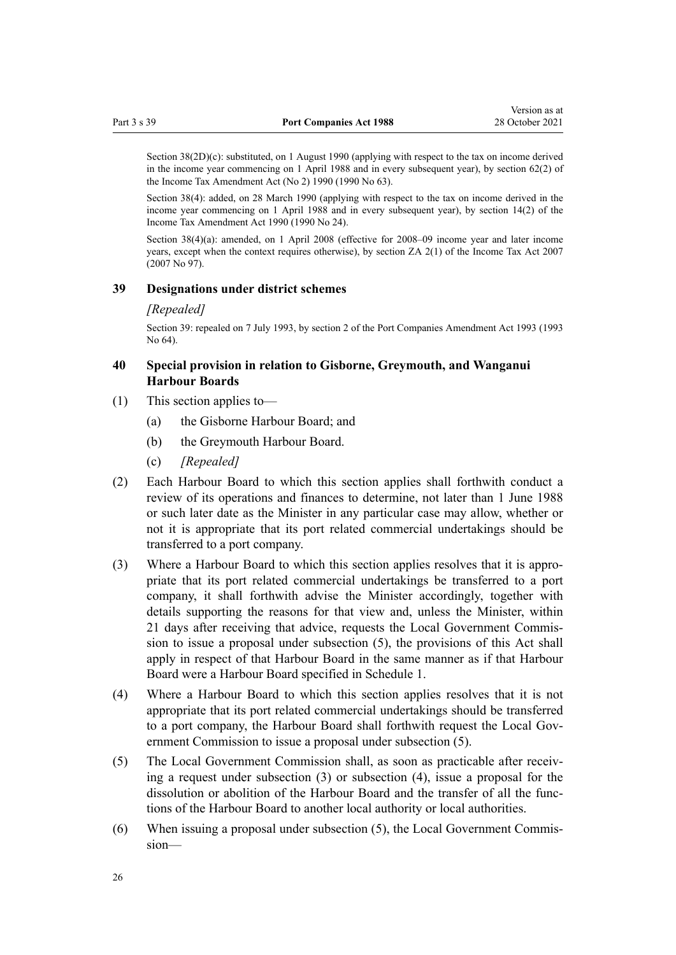<span id="page-25-0"></span>Section 38(2D)(c): substituted, on 1 August 1990 (applying with respect to the tax on income derived in the income year commencing on 1 April 1988 and in every subsequent year), by section 62(2) of the Income Tax Amendment Act (No 2) 1990 (1990 No 63).

Section 38(4): added, on 28 March 1990 (applying with respect to the tax on income derived in the income year commencing on 1 April 1988 and in every subsequent year), by section 14(2) of the Income Tax Amendment Act 1990 (1990 No 24).

Section 38(4)(a): amended, on 1 April 2008 (effective for 2008–09 income year and later income years, except when the context requires otherwise), by [section ZA 2\(1\)](http://legislation.govt.nz/pdflink.aspx?id=DLM1523176) of the Income Tax Act 2007 (2007 No 97).

#### **39 Designations under district schemes**

#### *[Repealed]*

Section 39: repealed on 7 July 1993, by section 2 of the Port Companies Amendment Act 1993 (1993 No 64).

#### **40 Special provision in relation to Gisborne, Greymouth, and Wanganui Harbour Boards**

- (1) This section applies to—
	- (a) the Gisborne Harbour Board; and
	- (b) the Greymouth Harbour Board.
	- (c) *[Repealed]*
- (2) Each Harbour Board to which this section applies shall forthwith conduct a review of its operations and finances to determine, not later than 1 June 1988 or such later date as the Minister in any particular case may allow, whether or not it is appropriate that its port related commercial undertakings should be transferred to a port company.
- (3) Where a Harbour Board to which this section applies resolves that it is appro‐ priate that its port related commercial undertakings be transferred to a port company, it shall forthwith advise the Minister accordingly, together with details supporting the reasons for that view and, unless the Minister, within 21 days after receiving that advice, requests the Local Government Commis‐ sion to issue a proposal under subsection (5), the provisions of this Act shall apply in respect of that Harbour Board in the same manner as if that Harbour Board were a Harbour Board specified in [Schedule 1.](#page-28-0)
- (4) Where a Harbour Board to which this section applies resolves that it is not appropriate that its port related commercial undertakings should be transferred to a port company, the Harbour Board shall forthwith request the Local Government Commission to issue a proposal under subsection (5).
- (5) The Local Government Commission shall, as soon as practicable after receiv‐ ing a request under subsection (3) or subsection (4), issue a proposal for the dissolution or abolition of the Harbour Board and the transfer of all the func‐ tions of the Harbour Board to another local authority or local authorities.
- (6) When issuing a proposal under subsection (5), the Local Government Commis‐ sion—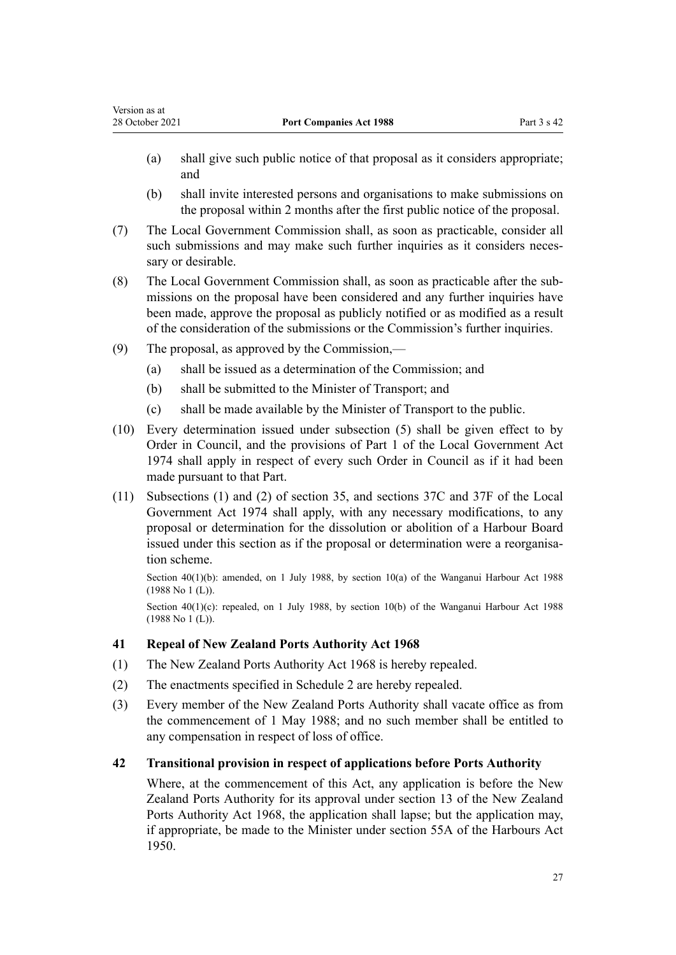- (a) shall give such public notice of that proposal as it considers appropriate; and
- (b) shall invite interested persons and organisations to make submissions on the proposal within 2 months after the first public notice of the proposal.
- (7) The Local Government Commission shall, as soon as practicable, consider all such submissions and may make such further inquiries as it considers necessary or desirable.
- (8) The Local Government Commission shall, as soon as practicable after the sub‐ missions on the proposal have been considered and any further inquiries have been made, approve the proposal as publicly notified or as modified as a result of the consideration of the submissions or the Commission's further inquiries.
- (9) The proposal, as approved by the Commission,—

<span id="page-26-0"></span>Version as at

- (a) shall be issued as a determination of the Commission; and
- (b) shall be submitted to the Minister of Transport; and
- (c) shall be made available by the Minister of Transport to the public.
- (10) Every determination issued under subsection (5) shall be given effect to by Order in Council, and the provisions of [Part 1](http://legislation.govt.nz/pdflink.aspx?id=DLM416138) of the Local Government Act 1974 shall apply in respect of every such Order in Council as if it had been made pursuant to that Part.
- (11) Subsections (1) and (2) of [section 35,](http://legislation.govt.nz/pdflink.aspx?id=DLM416299) and [sections 37C](http://legislation.govt.nz/pdflink.aspx?id=DLM416418) and [37F](http://legislation.govt.nz/pdflink.aspx?id=DLM416429) of the Local Government Act 1974 shall apply, with any necessary modifications, to any proposal or determination for the dissolution or abolition of a Harbour Board issued under this section as if the proposal or determination were a reorganisation scheme.

Section 40(1)(b): amended, on 1 July 1988, by [section 10\(a\)](http://legislation.govt.nz/pdflink.aspx?id=DLM78730) of the Wanganui Harbour Act 1988 (1988 No 1 (L)).

Section  $40(1)(c)$ : repealed, on 1 July 1988, by [section 10\(b\)](http://legislation.govt.nz/pdflink.aspx?id=DLM78730) of the Wanganui Harbour Act 1988 (1988 No 1 (L)).

#### **41 Repeal of New Zealand Ports Authority Act 1968**

- (1) The New Zealand Ports Authority Act 1968 is hereby repealed.
- (2) The enactments specified in [Schedule 2](#page-29-0) are hereby repealed.
- (3) Every member of the New Zealand Ports Authority shall vacate office as from the commencement of 1 May 1988; and no such member shall be entitled to any compensation in respect of loss of office.

#### **42 Transitional provision in respect of applications before Ports Authority**

Where, at the commencement of this Act, any application is before the New Zealand Ports Authority for its approval under section 13 of the New Zealand Ports Authority Act 1968, the application shall lapse; but the application may, if appropriate, be made to the Minister under section 55A of the Harbours Act 1950.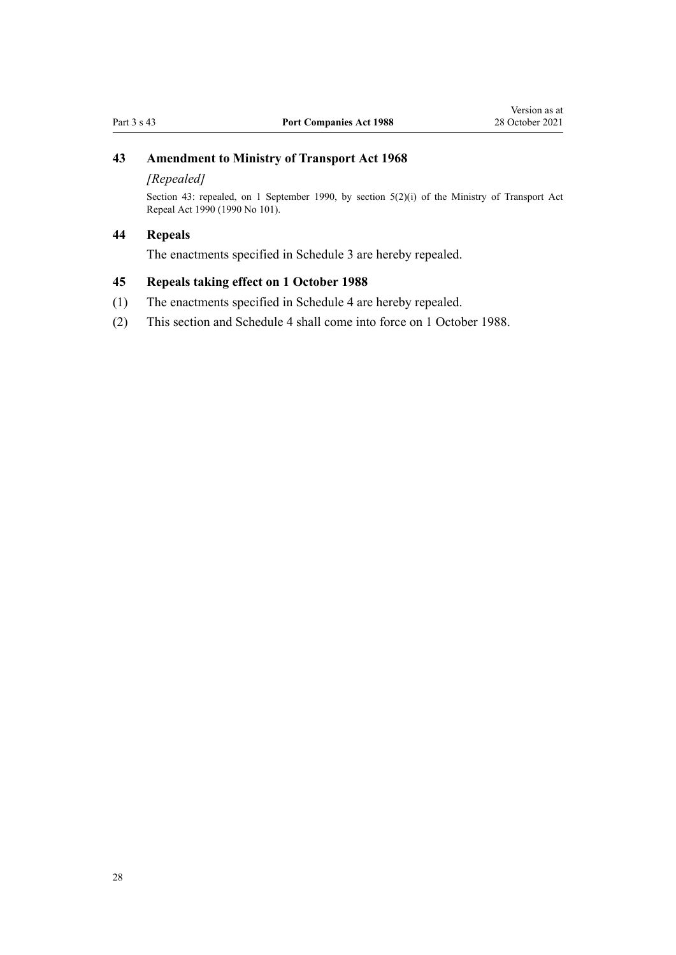# <span id="page-27-0"></span>**43 Amendment to Ministry of Transport Act 1968**

#### *[Repealed]*

Section 43: repealed, on 1 September 1990, by section  $5(2)(i)$  of the Ministry of Transport Act Repeal Act 1990 (1990 No 101).

### **44 Repeals**

The enactments specified in [Schedule 3](#page-30-0) are hereby repealed.

# **45 Repeals taking effect on 1 October 1988**

- (1) The enactments specified in [Schedule 4](#page-31-0) are hereby repealed.
- (2) This section and [Schedule 4](#page-31-0) shall come into force on 1 October 1988.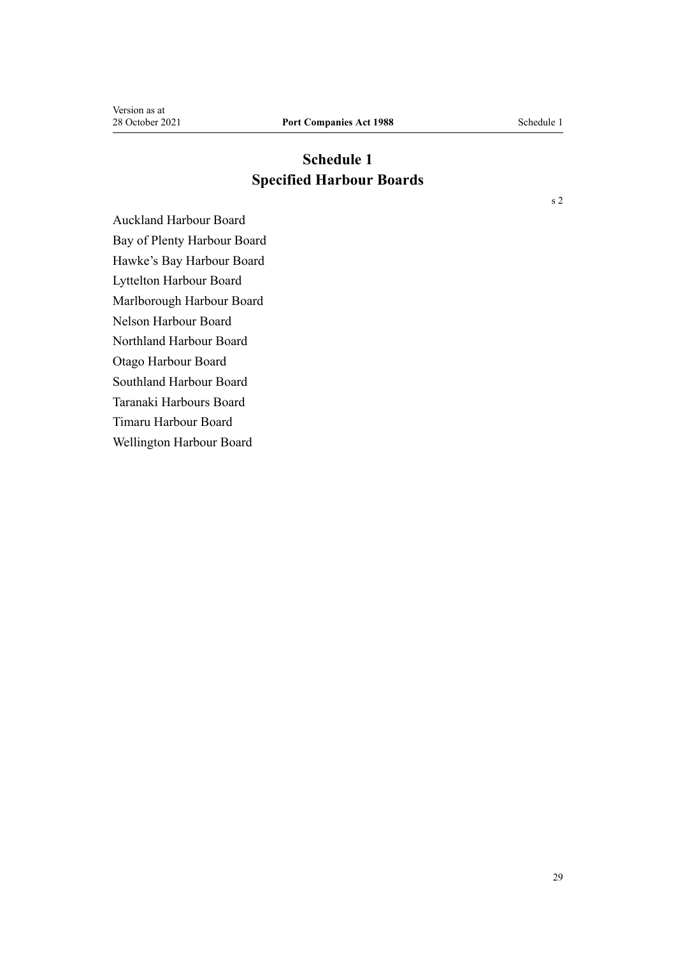# **Schedule 1 Specified Harbour Boards**

<span id="page-28-0"></span>Auckland Harbour Board Bay of Plenty Harbour Board Hawke's Bay Harbour Board Lyttelton Harbour Board Marlborough Harbour Board Nelson Harbour Board Northland Harbour Board Otago Harbour Board Southland Harbour Board Taranaki Harbours Board Timaru Harbour Board Wellington Harbour Board

[s 2](#page-2-0)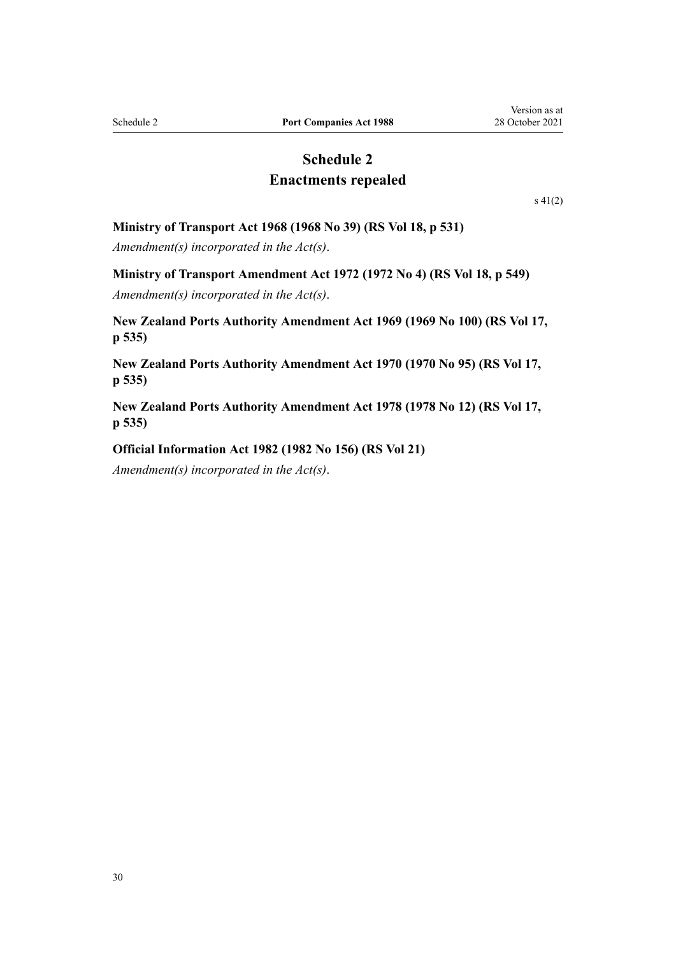# **Schedule 2 Enactments repealed**

[s 41\(2\)](#page-26-0)

#### <span id="page-29-0"></span>**Ministry of Transport Act 1968 (1968 No 39) (RS Vol 18, p 531)**

*Amendment(s) incorporated in the Act(s)*.

#### **Ministry of Transport Amendment Act 1972 (1972 No 4) (RS Vol 18, p 549)**

*Amendment(s) incorporated in the Act(s)*.

**New Zealand Ports Authority Amendment Act 1969 (1969 No 100) (RS Vol 17, p 535)**

**New Zealand Ports Authority Amendment Act 1970 (1970 No 95) (RS Vol 17, p 535)**

**New Zealand Ports Authority Amendment Act 1978 (1978 No 12) (RS Vol 17, p 535)**

#### **Official Information Act 1982 (1982 No 156) (RS Vol 21)**

*Amendment(s) incorporated in the [Act\(s\)](http://legislation.govt.nz/pdflink.aspx?id=DLM65921)*.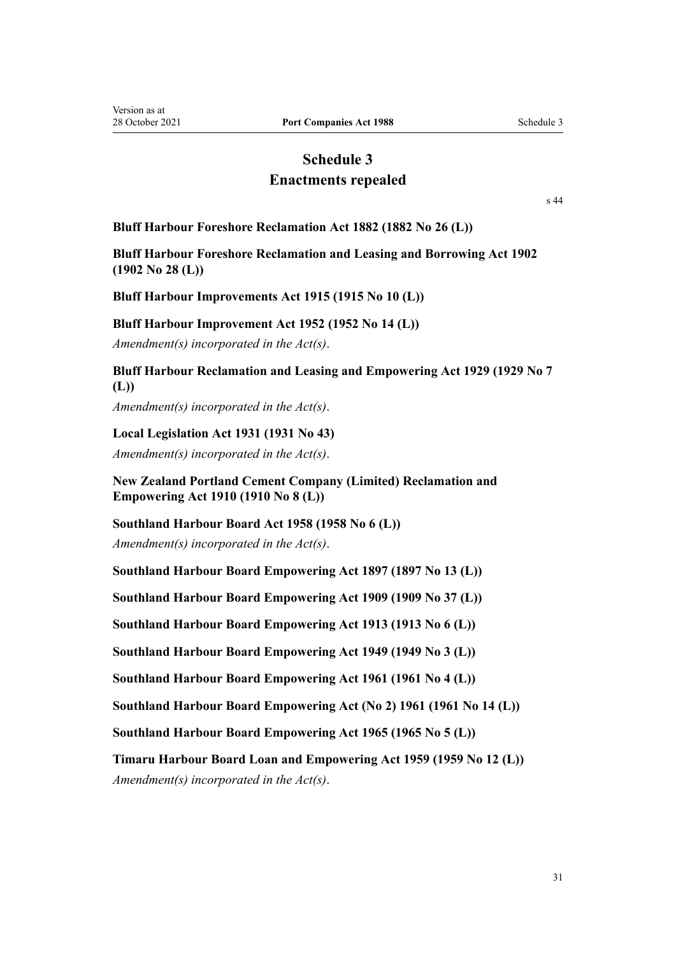# **Schedule 3**

# **Enactments repealed**

[s 44](#page-27-0)

<span id="page-30-0"></span>**Bluff Harbour Foreshore Reclamation Act 1882 (1882 No 26 (L))**

**Bluff Harbour Foreshore Reclamation and Leasing and Borrowing Act 1902 (1902 No 28 (L))**

**Bluff Harbour Improvements Act 1915 (1915 No 10 (L))**

#### **Bluff Harbour Improvement Act 1952 (1952 No 14 (L))**

*Amendment(s) incorporated in the Act(s)*.

# **Bluff Harbour Reclamation and Leasing and Empowering Act 1929 (1929 No 7 (L))**

*Amendment(s) incorporated in the Act(s)*.

#### **Local Legislation Act 1931 (1931 No 43)**

*Amendment(s) incorporated in the [Act\(s\)](http://legislation.govt.nz/pdflink.aspx?id=DLM211754)*.

**New Zealand Portland Cement Company (Limited) Reclamation and Empowering Act 1910 (1910 No 8 (L))**

**Southland Harbour Board Act 1958 (1958 No 6 (L))**

*Amendment(s) incorporated in the Act(s)*.

**Southland Harbour Board Empowering Act 1897 (1897 No 13 (L))**

**Southland Harbour Board Empowering Act 1909 (1909 No 37 (L))**

**Southland Harbour Board Empowering Act 1913 (1913 No 6 (L))**

**Southland Harbour Board Empowering Act 1949 (1949 No 3 (L))**

**Southland Harbour Board Empowering Act 1961 (1961 No 4 (L))**

**Southland Harbour Board Empowering Act (No 2) 1961 (1961 No 14 (L))**

**Southland Harbour Board Empowering Act 1965 (1965 No 5 (L))**

**Timaru Harbour Board Loan and Empowering Act 1959 (1959 No 12 (L))**

*Amendment(s) incorporated in the Act(s)*.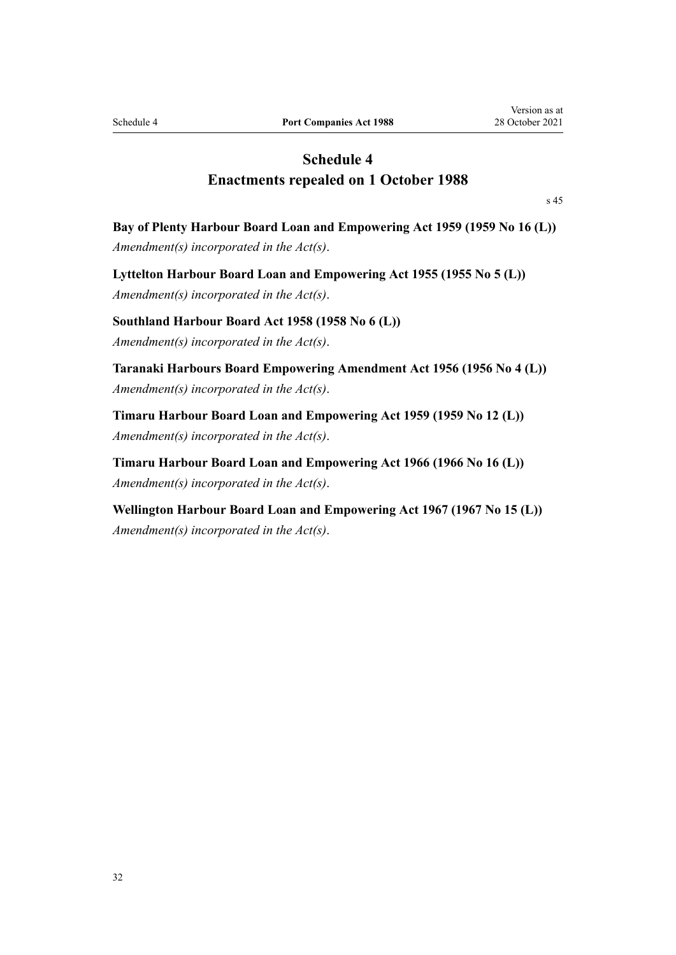# **Schedule 4 Enactments repealed on 1 October 1988**

[s 45](#page-27-0)

<span id="page-31-0"></span>**Bay of Plenty Harbour Board Loan and Empowering Act 1959 (1959 No 16 (L))** *Amendment(s) incorporated in the Act(s)*.

**Lyttelton Harbour Board Loan and Empowering Act 1955 (1955 No 5 (L))** *Amendment(s) incorporated in the Act(s)*.

**Southland Harbour Board Act 1958 (1958 No 6 (L))** *Amendment(s) incorporated in the Act(s)*.

**Taranaki Harbours Board Empowering Amendment Act 1956 (1956 No 4 (L))** *Amendment(s) incorporated in the [Act\(s\)](http://legislation.govt.nz/pdflink.aspx?id=DLM57705)*.

**Timaru Harbour Board Loan and Empowering Act 1959 (1959 No 12 (L))** *Amendment(s) incorporated in the Act(s)*.

**Timaru Harbour Board Loan and Empowering Act 1966 (1966 No 16 (L))** *Amendment(s) incorporated in the [Act\(s\)](http://legislation.govt.nz/pdflink.aspx?id=DLM64034)*.

**Wellington Harbour Board Loan and Empowering Act 1967 (1967 No 15 (L))** *Amendment(s) incorporated in the [Act\(s\)](http://legislation.govt.nz/pdflink.aspx?id=DLM65894)*.